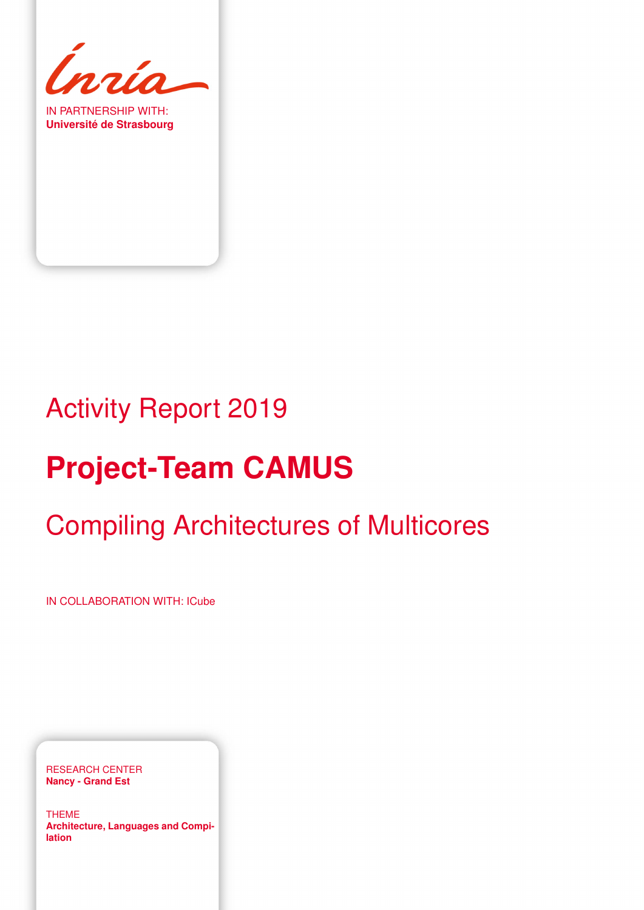

IN PARTNERSHIP WITH: **Université de Strasbourg**

# Activity Report 2019

# **Project-Team CAMUS**

# Compiling Architectures of Multicores

IN COLLABORATION WITH: ICube

RESEARCH CENTER **Nancy - Grand Est**

THEME **Architecture, Languages and Compilation**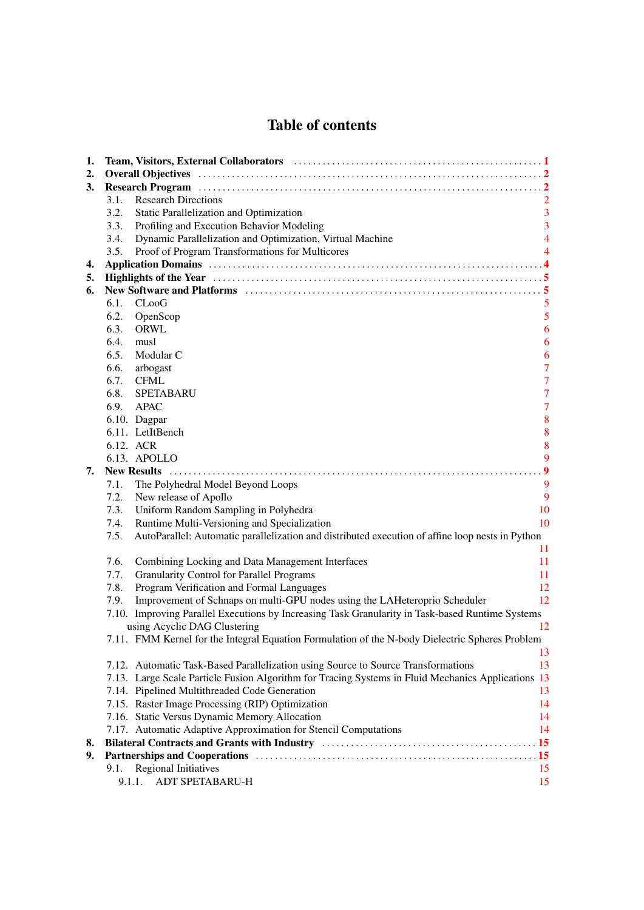# Table of contents

| 1. | Team, Visitors, External Collaborators (and the contract of the contract of the contract of the contract of the contract of the contract of the contract of the contract of the contract of the contract of the contract of th |                |
|----|--------------------------------------------------------------------------------------------------------------------------------------------------------------------------------------------------------------------------------|----------------|
| 2. |                                                                                                                                                                                                                                |                |
| 3. | Research Program (a) material contract to the contract of the contract of the contract of the contract of the contract of the contract of the contract of the contract of the contract of the contract of the contract of the  |                |
|    | <b>Research Directions</b><br>3.1.                                                                                                                                                                                             |                |
|    | 3.2.<br>Static Parallelization and Optimization                                                                                                                                                                                | $\mathbf{3}$   |
|    | Profiling and Execution Behavior Modeling<br>3.3.                                                                                                                                                                              | $\overline{3}$ |
|    | Dynamic Parallelization and Optimization, Virtual Machine<br>3.4.                                                                                                                                                              | $\overline{4}$ |
|    | Proof of Program Transformations for Multicores<br>3.5.                                                                                                                                                                        | 4              |
| 4. |                                                                                                                                                                                                                                |                |
| 5. |                                                                                                                                                                                                                                |                |
| 6. | New Software and Platforms (and the context of the state of the state of the state of the state of the state of the state of the state of the state of the state of the state of the state of the state of the state of the st |                |
|    | 6.1.<br>$C$ LooG                                                                                                                                                                                                               | 5              |
|    | 6.2.<br>OpenScop                                                                                                                                                                                                               | $\mathfrak{s}$ |
|    | ORWL<br>6.3.                                                                                                                                                                                                                   | 6              |
|    | 6.4.<br>musl                                                                                                                                                                                                                   | 6              |
|    | 6.5.<br>Modular C                                                                                                                                                                                                              | 6              |
|    | 6.6.<br>arbogast                                                                                                                                                                                                               | $\overline{7}$ |
|    | 6.7.<br>CFML                                                                                                                                                                                                                   | $\overline{7}$ |
|    | 6.8.<br>SPETABARU                                                                                                                                                                                                              | $\overline{7}$ |
|    | 6.9.<br>APAC                                                                                                                                                                                                                   | $\overline{7}$ |
|    | 6.10. Dagpar                                                                                                                                                                                                                   | $\bf 8$        |
|    | 6.11. LetItBench                                                                                                                                                                                                               | $\bf 8$        |
|    | 6.12. ACR                                                                                                                                                                                                                      | $\bf{8}$       |
|    | 6.13. APOLLO                                                                                                                                                                                                                   | 9              |
| 7. | <b>New Results</b>                                                                                                                                                                                                             | 9              |
|    | The Polyhedral Model Beyond Loops<br>7.1.                                                                                                                                                                                      | 9              |
|    | 7.2.<br>New release of Apollo                                                                                                                                                                                                  | 9              |
|    | Uniform Random Sampling in Polyhedra<br>7.3.                                                                                                                                                                                   | 10             |
|    | Runtime Multi-Versioning and Specialization<br>7.4.                                                                                                                                                                            | 10             |
|    | AutoParallel: Automatic parallelization and distributed execution of affine loop nests in Python<br>7.5.                                                                                                                       |                |
|    |                                                                                                                                                                                                                                | 11             |
|    | 7.6.<br>Combining Locking and Data Management Interfaces                                                                                                                                                                       | 11             |
|    | 7.7.<br><b>Granularity Control for Parallel Programs</b>                                                                                                                                                                       | 11             |
|    | 7.8.<br>Program Verification and Formal Languages                                                                                                                                                                              | 12             |
|    | Improvement of Schnaps on multi-GPU nodes using the LAHeteroprio Scheduler<br>7.9.                                                                                                                                             | 12             |
|    | 7.10. Improving Parallel Executions by Increasing Task Granularity in Task-based Runtime Systems                                                                                                                               |                |
|    | using Acyclic DAG Clustering                                                                                                                                                                                                   | 12             |
|    | 7.11. FMM Kernel for the Integral Equation Formulation of the N-body Dielectric Spheres Problem                                                                                                                                |                |
|    |                                                                                                                                                                                                                                | 13             |
|    | 7.12. Automatic Task-Based Parallelization using Source to Source Transformations                                                                                                                                              | 13             |
|    | 7.13. Large Scale Particle Fusion Algorithm for Tracing Systems in Fluid Mechanics Applications 13                                                                                                                             |                |
|    | 7.14. Pipelined Multithreaded Code Generation                                                                                                                                                                                  | 13             |
|    | 7.15. Raster Image Processing (RIP) Optimization                                                                                                                                                                               | 14             |
|    | 7.16. Static Versus Dynamic Memory Allocation                                                                                                                                                                                  | 14             |
|    | 7.17. Automatic Adaptive Approximation for Stencil Computations                                                                                                                                                                | 14             |
| 8. | Bilateral Contracts and Grants with Industry Mathematics and Contracts and Grants with Industry Mathematics and S                                                                                                              |                |
| 9. |                                                                                                                                                                                                                                |                |
|    | <b>Regional Initiatives</b><br>9.1.                                                                                                                                                                                            | 15             |
|    | 9.1.1.<br>ADT SPETABARU-H                                                                                                                                                                                                      | 15             |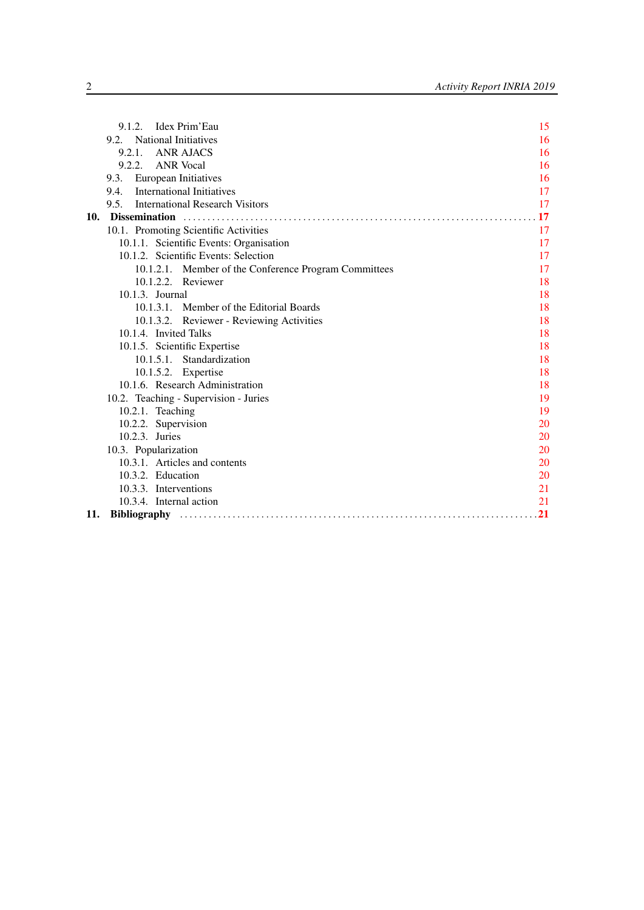|     | Idex Prim'Eau<br>9.1.2.                               | 15 |
|-----|-------------------------------------------------------|----|
|     | 9.2. National Initiatives                             | 16 |
|     | 9.2.1. ANR AJACS                                      | 16 |
|     | 9.2.2. ANR Vocal                                      | 16 |
|     | European Initiatives<br>9.3.                          | 16 |
|     | <b>International Initiatives</b><br>9.4.              | 17 |
|     | 9.5. International Research Visitors                  | 17 |
| 10. |                                                       | 17 |
|     | 10.1. Promoting Scientific Activities                 | 17 |
|     | 10.1.1. Scientific Events: Organisation               | 17 |
|     | 10.1.2. Scientific Events: Selection                  | 17 |
|     | 10.1.2.1. Member of the Conference Program Committees | 17 |
|     | 10.1.2.2. Reviewer                                    | 18 |
|     | $10.1.3.$ Journal                                     | 18 |
|     | 10.1.3.1. Member of the Editorial Boards              | 18 |
|     | 10.1.3.2. Reviewer - Reviewing Activities             | 18 |
|     | 10.1.4. Invited Talks                                 | 18 |
|     | 10.1.5. Scientific Expertise                          | 18 |
|     | 10.1.5.1. Standardization                             | 18 |
|     | 10.1.5.2. Expertise                                   | 18 |
|     | 10.1.6. Research Administration                       | 18 |
|     | 10.2. Teaching - Supervision - Juries                 | 19 |
|     | 10.2.1. Teaching                                      | 19 |
|     | 10.2.2. Supervision                                   | 20 |
|     | 10.2.3. Juries                                        | 20 |
|     | 10.3. Popularization                                  | 20 |
|     | 10.3.1. Articles and contents                         | 20 |
|     | 10.3.2. Education                                     | 20 |
|     | 10.3.3. Interventions                                 | 21 |
|     | 10.3.4. Internal action                               | 21 |
| 11. |                                                       | 21 |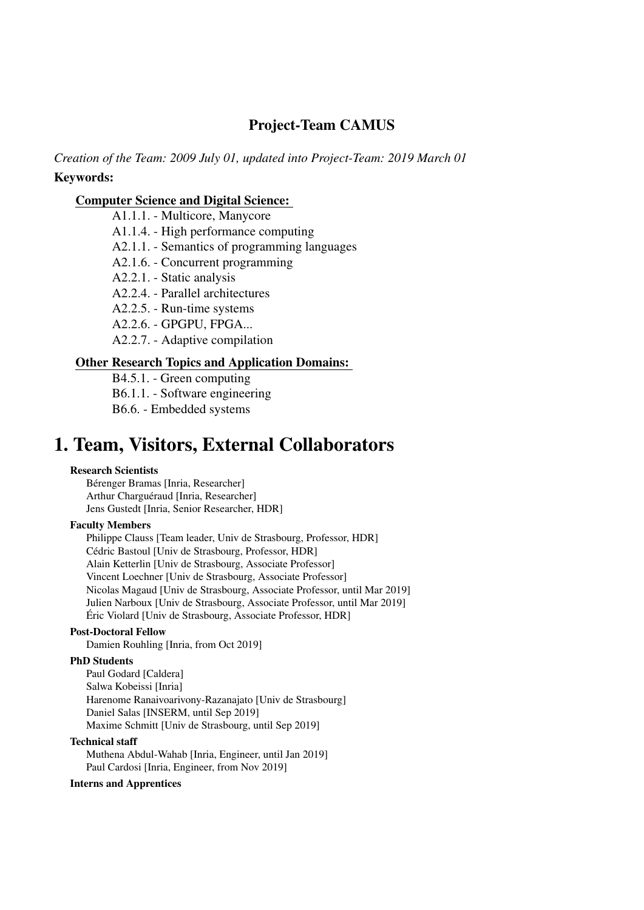# Project-Team CAMUS

*Creation of the Team: 2009 July 01, updated into Project-Team: 2019 March 01* Keywords:

#### [Computer Science and Digital Science:](https://raweb.inria.fr/rapportsactivite/RA2019/static/keywords/ComputerScienceandDigitalScience.html)

A1.1.1. - Multicore, Manycore

A1.1.4. - High performance computing

A2.1.1. - Semantics of programming languages

A2.1.6. - Concurrent programming

A2.2.1. - Static analysis

A2.2.4. - Parallel architectures

A2.2.5. - Run-time systems

A2.2.6. - GPGPU, FPGA...

A2.2.7. - Adaptive compilation

#### [Other Research Topics and Application Domains:](https://raweb.inria.fr/rapportsactivite/RA2019/static/keywords/OtherResearchTopicsandApplicationDomains.html)

B4.5.1. - Green computing

B6.1.1. - Software engineering

B6.6. - Embedded systems

# <span id="page-4-0"></span>1. Team, Visitors, External Collaborators

#### Research Scientists

Bérenger Bramas [Inria, Researcher] Arthur Charguéraud [Inria, Researcher] Jens Gustedt [Inria, Senior Researcher, HDR]

#### Faculty Members

Philippe Clauss [Team leader, Univ de Strasbourg, Professor, HDR] Cédric Bastoul [Univ de Strasbourg, Professor, HDR] Alain Ketterlin [Univ de Strasbourg, Associate Professor] Vincent Loechner [Univ de Strasbourg, Associate Professor] Nicolas Magaud [Univ de Strasbourg, Associate Professor, until Mar 2019] Julien Narboux [Univ de Strasbourg, Associate Professor, until Mar 2019] Éric Violard [Univ de Strasbourg, Associate Professor, HDR]

#### Post-Doctoral Fellow

Damien Rouhling [Inria, from Oct 2019]

#### PhD Students

Paul Godard [Caldera] Salwa Kobeissi [Inria] Harenome Ranaivoarivony-Razanajato [Univ de Strasbourg] Daniel Salas [INSERM, until Sep 2019] Maxime Schmitt [Univ de Strasbourg, until Sep 2019]

#### Technical staff

Muthena Abdul-Wahab [Inria, Engineer, until Jan 2019] Paul Cardosi [Inria, Engineer, from Nov 2019]

#### Interns and Apprentices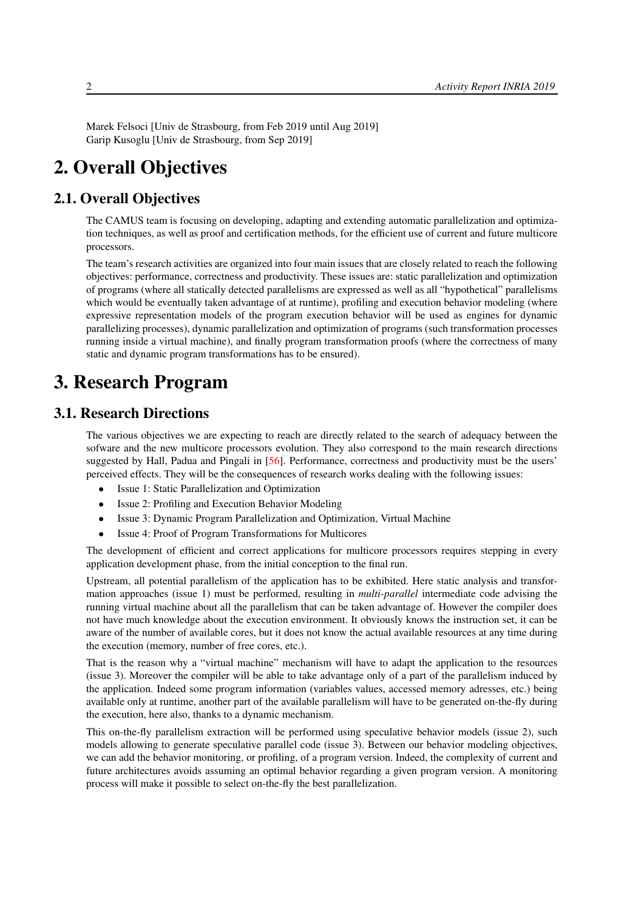<span id="page-5-0"></span>Marek Felsoci [Univ de Strasbourg, from Feb 2019 until Aug 2019] Garip Kusoglu [Univ de Strasbourg, from Sep 2019]

# 2. Overall Objectives

# 2.1. Overall Objectives

The CAMUS team is focusing on developing, adapting and extending automatic parallelization and optimization techniques, as well as proof and certification methods, for the efficient use of current and future multicore processors.

The team's research activities are organized into four main issues that are closely related to reach the following objectives: performance, correctness and productivity. These issues are: static parallelization and optimization of programs (where all statically detected parallelisms are expressed as well as all "hypothetical" parallelisms which would be eventually taken advantage of at runtime), profiling and execution behavior modeling (where expressive representation models of the program execution behavior will be used as engines for dynamic parallelizing processes), dynamic parallelization and optimization of programs (such transformation processes running inside a virtual machine), and finally program transformation proofs (where the correctness of many static and dynamic program transformations has to be ensured).

# <span id="page-5-1"></span>3. Research Program

## 3.1. Research Directions

<span id="page-5-2"></span>The various objectives we are expecting to reach are directly related to the search of adequacy between the sofware and the new multicore processors evolution. They also correspond to the main research directions suggested by Hall, Padua and Pingali in [\[56\]](#page-28-0). Performance, correctness and productivity must be the users' perceived effects. They will be the consequences of research works dealing with the following issues:

- Issue 1: Static Parallelization and Optimization
- Issue 2: Profiling and Execution Behavior Modeling
- Issue 3: Dynamic Program Parallelization and Optimization, Virtual Machine
- Issue 4: Proof of Program Transformations for Multicores

The development of efficient and correct applications for multicore processors requires stepping in every application development phase, from the initial conception to the final run.

Upstream, all potential parallelism of the application has to be exhibited. Here static analysis and transformation approaches (issue 1) must be performed, resulting in *multi-parallel* intermediate code advising the running virtual machine about all the parallelism that can be taken advantage of. However the compiler does not have much knowledge about the execution environment. It obviously knows the instruction set, it can be aware of the number of available cores, but it does not know the actual available resources at any time during the execution (memory, number of free cores, etc.).

That is the reason why a "virtual machine" mechanism will have to adapt the application to the resources (issue 3). Moreover the compiler will be able to take advantage only of a part of the parallelism induced by the application. Indeed some program information (variables values, accessed memory adresses, etc.) being available only at runtime, another part of the available parallelism will have to be generated on-the-fly during the execution, here also, thanks to a dynamic mechanism.

This on-the-fly parallelism extraction will be performed using speculative behavior models (issue 2), such models allowing to generate speculative parallel code (issue 3). Between our behavior modeling objectives, we can add the behavior monitoring, or profiling, of a program version. Indeed, the complexity of current and future architectures avoids assuming an optimal behavior regarding a given program version. A monitoring process will make it possible to select on-the-fly the best parallelization.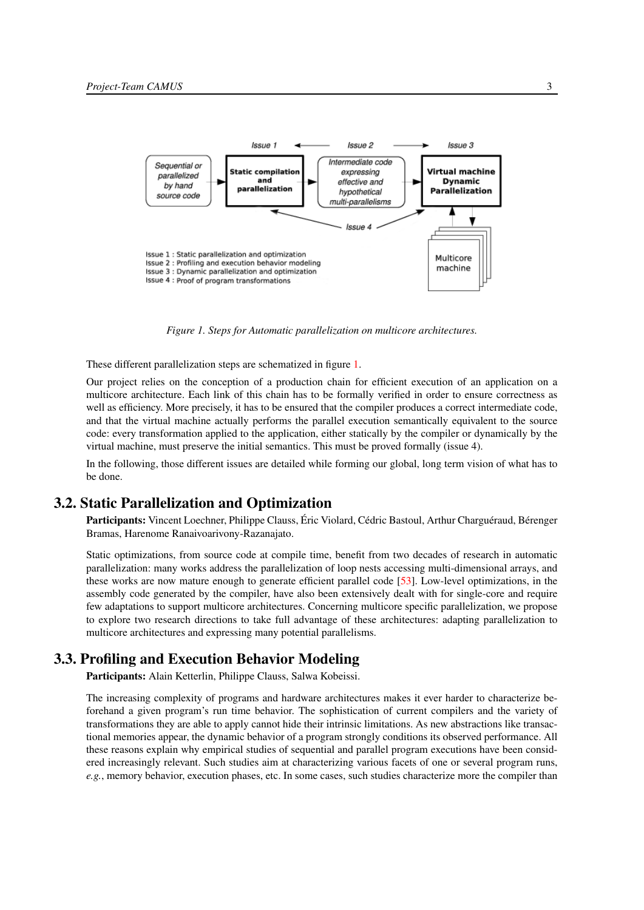<span id="page-6-2"></span>

*Figure 1. Steps for Automatic parallelization on multicore architectures.*

These different parallelization steps are schematized in figure [1.](#page-6-2)

Our project relies on the conception of a production chain for efficient execution of an application on a multicore architecture. Each link of this chain has to be formally verified in order to ensure correctness as well as efficiency. More precisely, it has to be ensured that the compiler produces a correct intermediate code, and that the virtual machine actually performs the parallel execution semantically equivalent to the source code: every transformation applied to the application, either statically by the compiler or dynamically by the virtual machine, must preserve the initial semantics. This must be proved formally (issue 4).

In the following, those different issues are detailed while forming our global, long term vision of what has to be done.

#### 3.2. Static Parallelization and Optimization

<span id="page-6-0"></span>Participants: Vincent Loechner, Philippe Clauss, Éric Violard, Cédric Bastoul, Arthur Charguéraud, Bérenger Bramas, Harenome Ranaivoarivony-Razanajato.

Static optimizations, from source code at compile time, benefit from two decades of research in automatic parallelization: many works address the parallelization of loop nests accessing multi-dimensional arrays, and these works are now mature enough to generate efficient parallel code [\[53\]](#page-28-1). Low-level optimizations, in the assembly code generated by the compiler, have also been extensively dealt with for single-core and require few adaptations to support multicore architectures. Concerning multicore specific parallelization, we propose to explore two research directions to take full advantage of these architectures: adapting parallelization to multicore architectures and expressing many potential parallelisms.

# 3.3. Profiling and Execution Behavior Modeling

<span id="page-6-1"></span>Participants: Alain Ketterlin, Philippe Clauss, Salwa Kobeissi.

The increasing complexity of programs and hardware architectures makes it ever harder to characterize beforehand a given program's run time behavior. The sophistication of current compilers and the variety of transformations they are able to apply cannot hide their intrinsic limitations. As new abstractions like transactional memories appear, the dynamic behavior of a program strongly conditions its observed performance. All these reasons explain why empirical studies of sequential and parallel program executions have been considered increasingly relevant. Such studies aim at characterizing various facets of one or several program runs, *e.g.*, memory behavior, execution phases, etc. In some cases, such studies characterize more the compiler than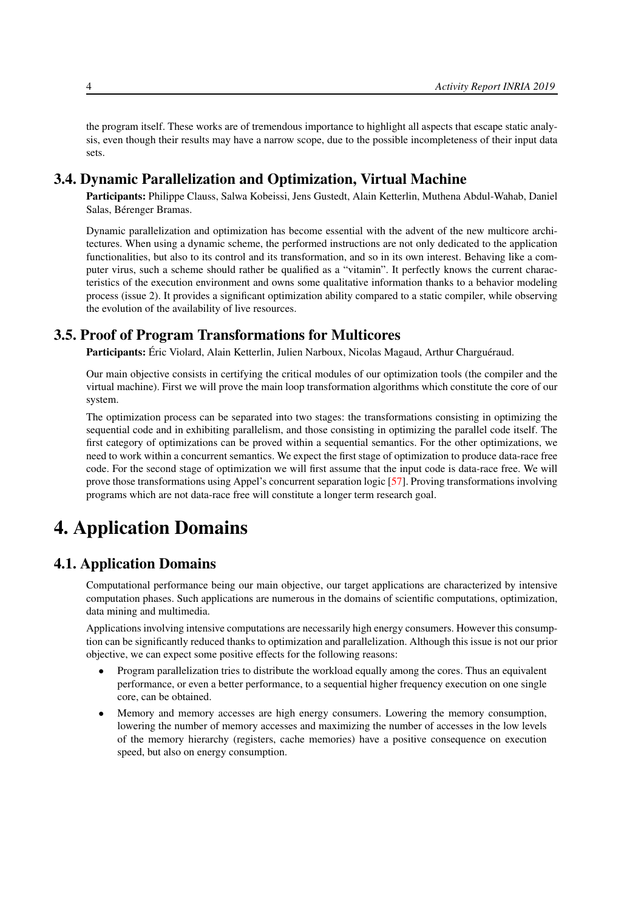the program itself. These works are of tremendous importance to highlight all aspects that escape static analysis, even though their results may have a narrow scope, due to the possible incompleteness of their input data sets.

## 3.4. Dynamic Parallelization and Optimization, Virtual Machine

<span id="page-7-0"></span>Participants: Philippe Clauss, Salwa Kobeissi, Jens Gustedt, Alain Ketterlin, Muthena Abdul-Wahab, Daniel Salas, Bérenger Bramas.

Dynamic parallelization and optimization has become essential with the advent of the new multicore architectures. When using a dynamic scheme, the performed instructions are not only dedicated to the application functionalities, but also to its control and its transformation, and so in its own interest. Behaving like a computer virus, such a scheme should rather be qualified as a "vitamin". It perfectly knows the current characteristics of the execution environment and owns some qualitative information thanks to a behavior modeling process (issue 2). It provides a significant optimization ability compared to a static compiler, while observing the evolution of the availability of live resources.

# 3.5. Proof of Program Transformations for Multicores

<span id="page-7-1"></span>Participants: Éric Violard, Alain Ketterlin, Julien Narboux, Nicolas Magaud, Arthur Charguéraud.

Our main objective consists in certifying the critical modules of our optimization tools (the compiler and the virtual machine). First we will prove the main loop transformation algorithms which constitute the core of our system.

The optimization process can be separated into two stages: the transformations consisting in optimizing the sequential code and in exhibiting parallelism, and those consisting in optimizing the parallel code itself. The first category of optimizations can be proved within a sequential semantics. For the other optimizations, we need to work within a concurrent semantics. We expect the first stage of optimization to produce data-race free code. For the second stage of optimization we will first assume that the input code is data-race free. We will prove those transformations using Appel's concurrent separation logic [\[57\]](#page-28-2). Proving transformations involving programs which are not data-race free will constitute a longer term research goal.

# <span id="page-7-2"></span>4. Application Domains

# 4.1. Application Domains

Computational performance being our main objective, our target applications are characterized by intensive computation phases. Such applications are numerous in the domains of scientific computations, optimization, data mining and multimedia.

Applications involving intensive computations are necessarily high energy consumers. However this consumption can be significantly reduced thanks to optimization and parallelization. Although this issue is not our prior objective, we can expect some positive effects for the following reasons:

- Program parallelization tries to distribute the workload equally among the cores. Thus an equivalent performance, or even a better performance, to a sequential higher frequency execution on one single core, can be obtained.
- Memory and memory accesses are high energy consumers. Lowering the memory consumption, lowering the number of memory accesses and maximizing the number of accesses in the low levels of the memory hierarchy (registers, cache memories) have a positive consequence on execution speed, but also on energy consumption.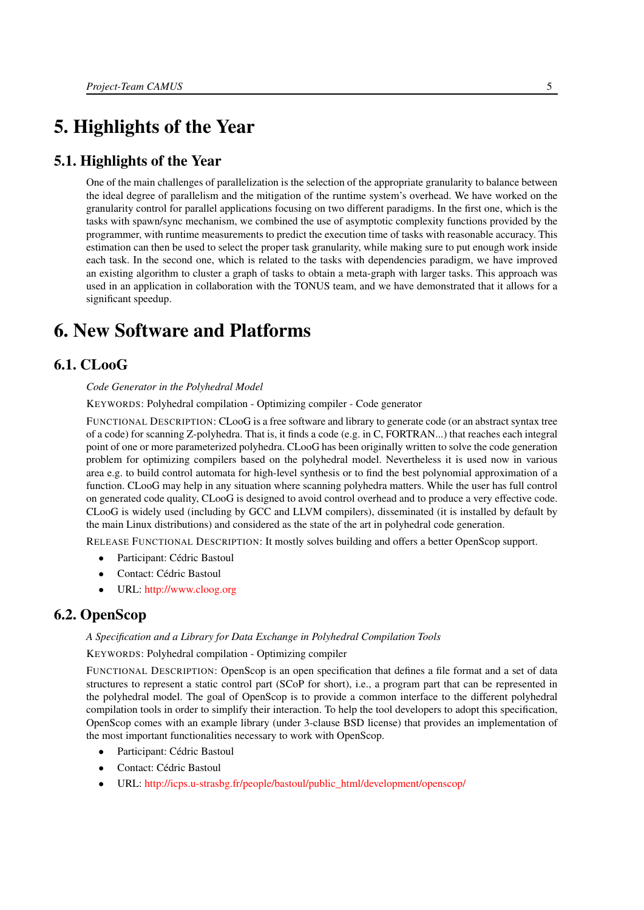# <span id="page-8-0"></span>5. Highlights of the Year

# 5.1. Highlights of the Year

One of the main challenges of parallelization is the selection of the appropriate granularity to balance between the ideal degree of parallelism and the mitigation of the runtime system's overhead. We have worked on the granularity control for parallel applications focusing on two different paradigms. In the first one, which is the tasks with spawn/sync mechanism, we combined the use of asymptotic complexity functions provided by the programmer, with runtime measurements to predict the execution time of tasks with reasonable accuracy. This estimation can then be used to select the proper task granularity, while making sure to put enough work inside each task. In the second one, which is related to the tasks with dependencies paradigm, we have improved an existing algorithm to cluster a graph of tasks to obtain a meta-graph with larger tasks. This approach was used in an application in collaboration with the TONUS team, and we have demonstrated that it allows for a significant speedup.

# <span id="page-8-1"></span>6. New Software and Platforms

# 6.1. CLooG

#### <span id="page-8-2"></span>*Code Generator in the Polyhedral Model*

KEYWORDS: Polyhedral compilation - Optimizing compiler - Code generator

FUNCTIONAL DESCRIPTION: CLooG is a free software and library to generate code (or an abstract syntax tree of a code) for scanning Z-polyhedra. That is, it finds a code (e.g. in C, FORTRAN...) that reaches each integral point of one or more parameterized polyhedra. CLooG has been originally written to solve the code generation problem for optimizing compilers based on the polyhedral model. Nevertheless it is used now in various area e.g. to build control automata for high-level synthesis or to find the best polynomial approximation of a function. CLooG may help in any situation where scanning polyhedra matters. While the user has full control on generated code quality, CLooG is designed to avoid control overhead and to produce a very effective code. CLooG is widely used (including by GCC and LLVM compilers), disseminated (it is installed by default by the main Linux distributions) and considered as the state of the art in polyhedral code generation.

RELEASE FUNCTIONAL DESCRIPTION: It mostly solves building and offers a better OpenScop support.

- Participant: Cédric Bastoul
- Contact: Cédric Bastoul
- <span id="page-8-3"></span>• URL: <http://www.cloog.org>

# 6.2. OpenScop

#### *A Specification and a Library for Data Exchange in Polyhedral Compilation Tools*

KEYWORDS: Polyhedral compilation - Optimizing compiler

FUNCTIONAL DESCRIPTION: OpenScop is an open specification that defines a file format and a set of data structures to represent a static control part (SCoP for short), i.e., a program part that can be represented in the polyhedral model. The goal of OpenScop is to provide a common interface to the different polyhedral compilation tools in order to simplify their interaction. To help the tool developers to adopt this specification, OpenScop comes with an example library (under 3-clause BSD license) that provides an implementation of the most important functionalities necessary to work with OpenScop.

- Participant: Cédric Bastoul
- Contact: Cédric Bastoul
- URL: [http://icps.u-strasbg.fr/people/bastoul/public\\_html/development/openscop/](http://icps.u-strasbg.fr/people/bastoul/public_html/development/openscop/)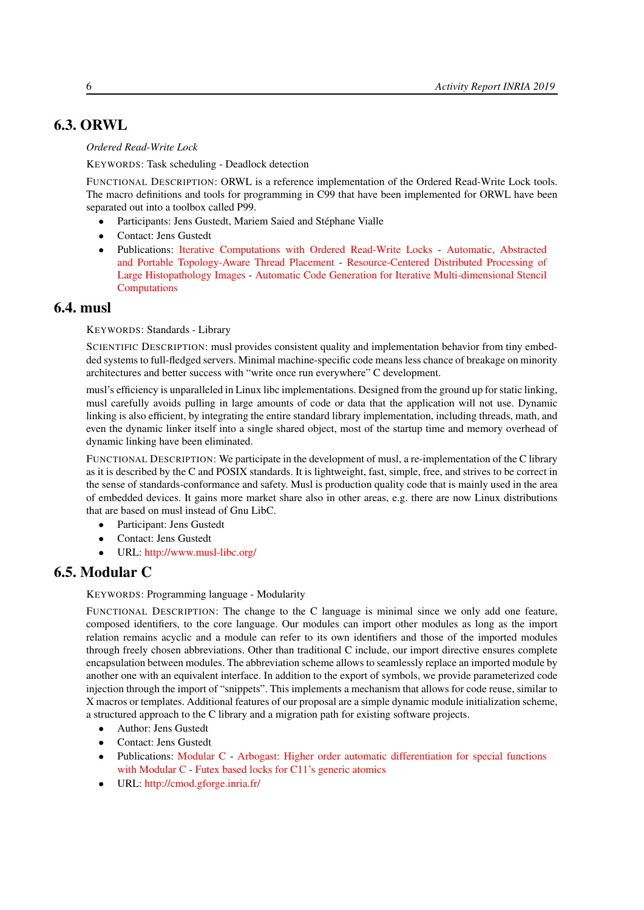# 6.3. ORWL

#### <span id="page-9-0"></span>*Ordered Read-Write Lock*

KEYWORDS: Task scheduling - Deadlock detection

FUNCTIONAL DESCRIPTION: ORWL is a reference implementation of the Ordered Read-Write Lock tools. The macro definitions and tools for programming in C99 that have been implemented for ORWL have been separated out into a toolbox called P99.

- Participants: Jens Gustedt, Mariem Saied and Stéphane Vialle
- Contact: Jens Gustedt
- Publications: [Iterative Computations with Ordered Read-Write Locks](https://hal.inria.fr/inria-00330024) [Automatic, Abstracted](https://hal.inria.fr/hal-01621936) [and Portable Topology-Aware Thread Placement](https://hal.inria.fr/hal-01621936) - [Resource-Centered Distributed Processing of](https://hal.inria.fr/hal-01325648) [Large Histopathology Images](https://hal.inria.fr/hal-01325648) - [Automatic Code Generation for Iterative Multi-dimensional Stencil](https://hal.inria.fr/hal-01337093) [Computations](https://hal.inria.fr/hal-01337093)

# 6.4. musl

<span id="page-9-1"></span>KEYWORDS: Standards - Library

SCIENTIFIC DESCRIPTION: musl provides consistent quality and implementation behavior from tiny embedded systems to full-fledged servers. Minimal machine-specific code means less chance of breakage on minority architectures and better success with "write once run everywhere" C development.

musl's efficiency is unparalleled in Linux libc implementations. Designed from the ground up for static linking, musl carefully avoids pulling in large amounts of code or data that the application will not use. Dynamic linking is also efficient, by integrating the entire standard library implementation, including threads, math, and even the dynamic linker itself into a single shared object, most of the startup time and memory overhead of dynamic linking have been eliminated.

FUNCTIONAL DESCRIPTION: We participate in the development of musl, a re-implementation of the C library as it is described by the C and POSIX standards. It is lightweight, fast, simple, free, and strives to be correct in the sense of standards-conformance and safety. Musl is production quality code that is mainly used in the area of embedded devices. It gains more market share also in other areas, e.g. there are now Linux distributions that are based on musl instead of Gnu LibC.

- Participant: Jens Gustedt
- Contact: Jens Gustedt
- <span id="page-9-2"></span>• URL: <http://www.musl-libc.org/>

# 6.5. Modular C

KEYWORDS: Programming language - Modularity

FUNCTIONAL DESCRIPTION: The change to the C language is minimal since we only add one feature, composed identifiers, to the core language. Our modules can import other modules as long as the import relation remains acyclic and a module can refer to its own identifiers and those of the imported modules through freely chosen abbreviations. Other than traditional C include, our import directive ensures complete encapsulation between modules. The abbreviation scheme allows to seamlessly replace an imported module by another one with an equivalent interface. In addition to the export of symbols, we provide parameterized code injection through the import of "snippets". This implements a mechanism that allows for code reuse, similar to X macros or templates. Additional features of our proposal are a simple dynamic module initialization scheme, a structured approach to the C library and a migration path for existing software projects.

- Author: Jens Gustedt
- Contact: Jens Gustedt
- Publications: [Modular C](https://hal.inria.fr/hal-01169491) [Arbogast: Higher order automatic differentiation for special functions](https://hal.inria.fr/hal-01307750) [with Modular C](https://hal.inria.fr/hal-01307750) - [Futex based locks for C11's generic atomics](https://hal.inria.fr/hal-01236734)
- URL: <http://cmod.gforge.inria.fr/>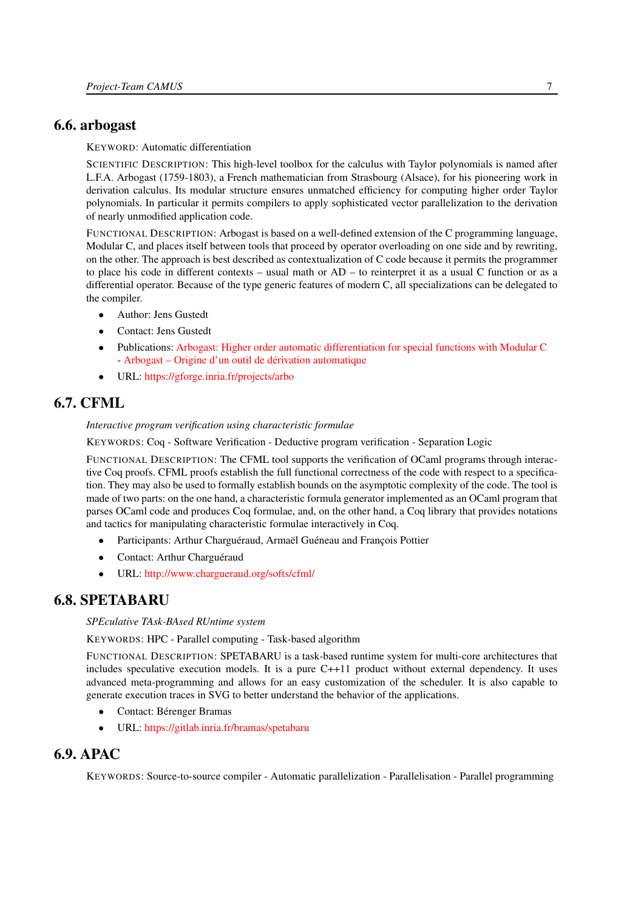# 6.6. arbogast

<span id="page-10-0"></span>KEYWORD: Automatic differentiation

SCIENTIFIC DESCRIPTION: This high-level toolbox for the calculus with Taylor polynomials is named after L.F.A. Arbogast (1759-1803), a French mathematician from Strasbourg (Alsace), for his pioneering work in derivation calculus. Its modular structure ensures unmatched efficiency for computing higher order Taylor polynomials. In particular it permits compilers to apply sophisticated vector parallelization to the derivation of nearly unmodified application code.

FUNCTIONAL DESCRIPTION: Arbogast is based on a well-defined extension of the C programming language, Modular C, and places itself between tools that proceed by operator overloading on one side and by rewriting, on the other. The approach is best described as contextualization of C code because it permits the programmer to place his code in different contexts – usual math or AD – to reinterpret it as a usual C function or as a differential operator. Because of the type generic features of modern C, all specializations can be delegated to the compiler.

- Author: Jens Gustedt
- Contact: Jens Gustedt
- Publications: [Arbogast: Higher order automatic differentiation for special functions with Modular C](https://hal.inria.fr/hal-01307750) - [Arbogast – Origine d'un outil de dérivation automatique](https://hal.inria.fr/hal-01313355)
- <span id="page-10-1"></span>• URL: <https://gforge.inria.fr/projects/arbo>

# 6.7. CFML

*Interactive program verification using characteristic formulae*

KEYWORDS: Coq - Software Verification - Deductive program verification - Separation Logic

FUNCTIONAL DESCRIPTION: The CFML tool supports the verification of OCaml programs through interactive Coq proofs. CFML proofs establish the full functional correctness of the code with respect to a specification. They may also be used to formally establish bounds on the asymptotic complexity of the code. The tool is made of two parts: on the one hand, a characteristic formula generator implemented as an OCaml program that parses OCaml code and produces Coq formulae, and, on the other hand, a Coq library that provides notations and tactics for manipulating characteristic formulae interactively in Coq.

- Participants: Arthur Charguéraud, Armaël Guéneau and François Pottier
- Contact: Arthur Charguéraud
- <span id="page-10-2"></span>• URL: <http://www.chargueraud.org/softs/cfml/>

# 6.8. SPETABARU

*SPEculative TAsk-BAsed RUntime system*

KEYWORDS: HPC - Parallel computing - Task-based algorithm

FUNCTIONAL DESCRIPTION: SPETABARU is a task-based runtime system for multi-core architectures that includes speculative execution models. It is a pure C++11 product without external dependency. It uses advanced meta-programming and allows for an easy customization of the scheduler. It is also capable to generate execution traces in SVG to better understand the behavior of the applications.

- Contact: Bérenger Bramas
- <span id="page-10-3"></span>• URL: <https://gitlab.inria.fr/bramas/spetabaru>

# 6.9. APAC

KEYWORDS: Source-to-source compiler - Automatic parallelization - Parallelisation - Parallel programming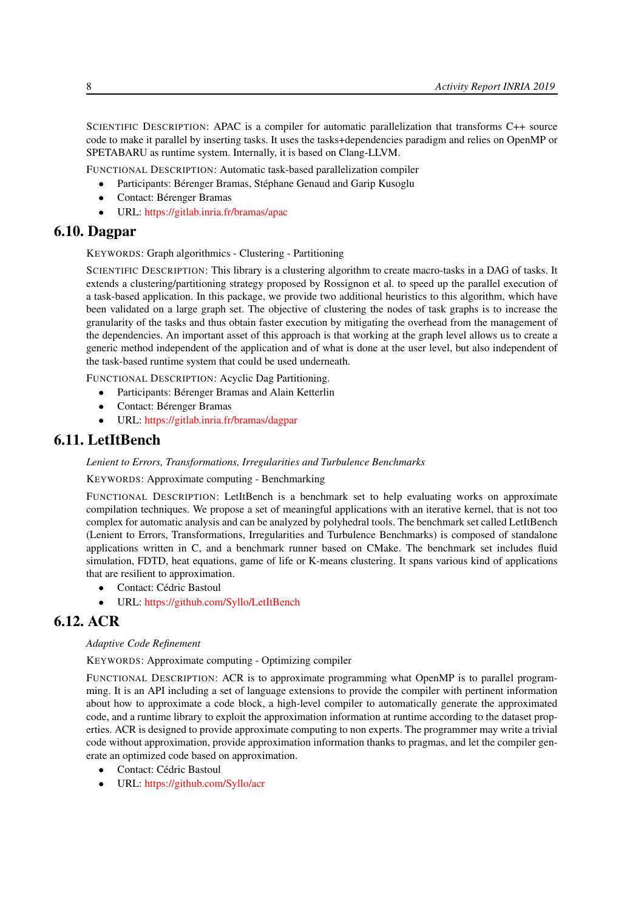SCIENTIFIC DESCRIPTION: APAC is a compiler for automatic parallelization that transforms C++ source code to make it parallel by inserting tasks. It uses the tasks+dependencies paradigm and relies on OpenMP or SPETABARU as runtime system. Internally, it is based on Clang-LLVM.

FUNCTIONAL DESCRIPTION: Automatic task-based parallelization compiler

- Participants: Bérenger Bramas, Stéphane Genaud and Garip Kusoglu
- Contact: Bérenger Bramas
- <span id="page-11-0"></span>• URL: <https://gitlab.inria.fr/bramas/apac>

# 6.10. Dagpar

KEYWORDS: Graph algorithmics - Clustering - Partitioning

SCIENTIFIC DESCRIPTION: This library is a clustering algorithm to create macro-tasks in a DAG of tasks. It extends a clustering/partitioning strategy proposed by Rossignon et al. to speed up the parallel execution of a task-based application. In this package, we provide two additional heuristics to this algorithm, which have been validated on a large graph set. The objective of clustering the nodes of task graphs is to increase the granularity of the tasks and thus obtain faster execution by mitigating the overhead from the management of the dependencies. An important asset of this approach is that working at the graph level allows us to create a generic method independent of the application and of what is done at the user level, but also independent of the task-based runtime system that could be used underneath.

FUNCTIONAL DESCRIPTION: Acyclic Dag Partitioning.

- Participants: Bérenger Bramas and Alain Ketterlin
- Contact: Bérenger Bramas
- <span id="page-11-1"></span>• URL: <https://gitlab.inria.fr/bramas/dagpar>

## 6.11. LetItBench

#### *Lenient to Errors, Transformations, Irregularities and Turbulence Benchmarks*

KEYWORDS: Approximate computing - Benchmarking

FUNCTIONAL DESCRIPTION: LetItBench is a benchmark set to help evaluating works on approximate compilation techniques. We propose a set of meaningful applications with an iterative kernel, that is not too complex for automatic analysis and can be analyzed by polyhedral tools. The benchmark set called LetItBench (Lenient to Errors, Transformations, Irregularities and Turbulence Benchmarks) is composed of standalone applications written in C, and a benchmark runner based on CMake. The benchmark set includes fluid simulation, FDTD, heat equations, game of life or K-means clustering. It spans various kind of applications that are resilient to approximation.

- Contact: Cédric Bastoul
- <span id="page-11-2"></span>• URL: <https://github.com/Syllo/LetItBench>

# 6.12. ACR

#### *Adaptive Code Refinement*

KEYWORDS: Approximate computing - Optimizing compiler

FUNCTIONAL DESCRIPTION: ACR is to approximate programming what OpenMP is to parallel programming. It is an API including a set of language extensions to provide the compiler with pertinent information about how to approximate a code block, a high-level compiler to automatically generate the approximated code, and a runtime library to exploit the approximation information at runtime according to the dataset properties. ACR is designed to provide approximate computing to non experts. The programmer may write a trivial code without approximation, provide approximation information thanks to pragmas, and let the compiler generate an optimized code based on approximation.

- Contact: Cédric Bastoul
- URL: <https://github.com/Syllo/acr>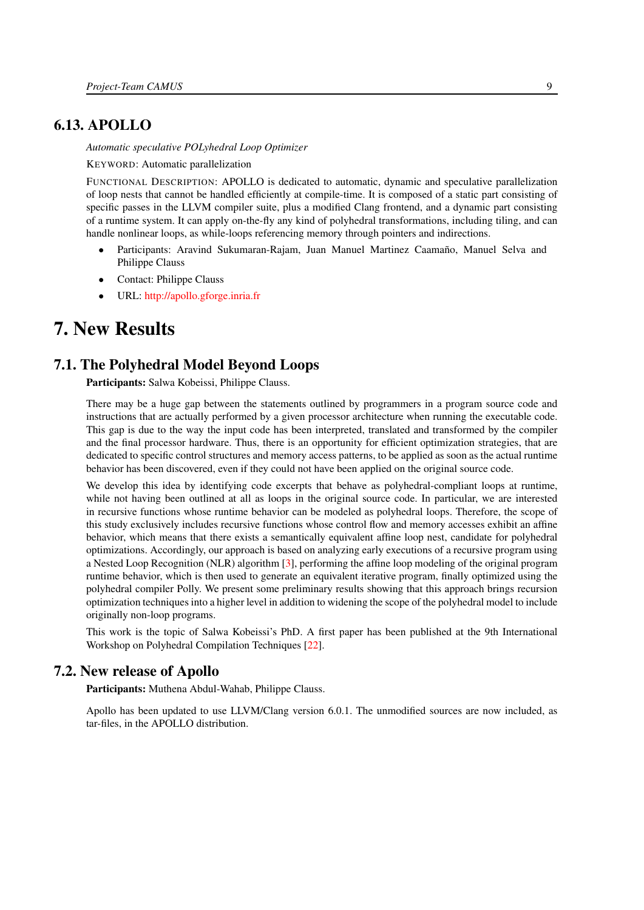# 6.13. APOLLO

<span id="page-12-0"></span>*Automatic speculative POLyhedral Loop Optimizer*

KEYWORD: Automatic parallelization

FUNCTIONAL DESCRIPTION: APOLLO is dedicated to automatic, dynamic and speculative parallelization of loop nests that cannot be handled efficiently at compile-time. It is composed of a static part consisting of specific passes in the LLVM compiler suite, plus a modified Clang frontend, and a dynamic part consisting of a runtime system. It can apply on-the-fly any kind of polyhedral transformations, including tiling, and can handle nonlinear loops, as while-loops referencing memory through pointers and indirections.

- Participants: Aravind Sukumaran-Rajam, Juan Manuel Martinez Caamaño, Manuel Selva and Philippe Clauss
- Contact: Philippe Clauss
- <span id="page-12-1"></span>• URL: <http://apollo.gforge.inria.fr>

# 7. New Results

# 7.1. The Polyhedral Model Beyond Loops

<span id="page-12-2"></span>Participants: Salwa Kobeissi, Philippe Clauss.

There may be a huge gap between the statements outlined by programmers in a program source code and instructions that are actually performed by a given processor architecture when running the executable code. This gap is due to the way the input code has been interpreted, translated and transformed by the compiler and the final processor hardware. Thus, there is an opportunity for efficient optimization strategies, that are dedicated to specific control structures and memory access patterns, to be applied as soon as the actual runtime behavior has been discovered, even if they could not have been applied on the original source code.

We develop this idea by identifying code excerpts that behave as polyhedral-compliant loops at runtime, while not having been outlined at all as loops in the original source code. In particular, we are interested in recursive functions whose runtime behavior can be modeled as polyhedral loops. Therefore, the scope of this study exclusively includes recursive functions whose control flow and memory accesses exhibit an affine behavior, which means that there exists a semantically equivalent affine loop nest, candidate for polyhedral optimizations. Accordingly, our approach is based on analyzing early executions of a recursive program using a Nested Loop Recognition (NLR) algorithm [\[3\]](#page-24-3), performing the affine loop modeling of the original program runtime behavior, which is then used to generate an equivalent iterative program, finally optimized using the polyhedral compiler Polly. We present some preliminary results showing that this approach brings recursion optimization techniques into a higher level in addition to widening the scope of the polyhedral model to include originally non-loop programs.

This work is the topic of Salwa Kobeissi's PhD. A first paper has been published at the 9th International Workshop on Polyhedral Compilation Techniques [\[22\]](#page-26-0).

# 7.2. New release of Apollo

<span id="page-12-3"></span>Participants: Muthena Abdul-Wahab, Philippe Clauss.

Apollo has been updated to use LLVM/Clang version 6.0.1. The unmodified sources are now included, as tar-files, in the APOLLO distribution.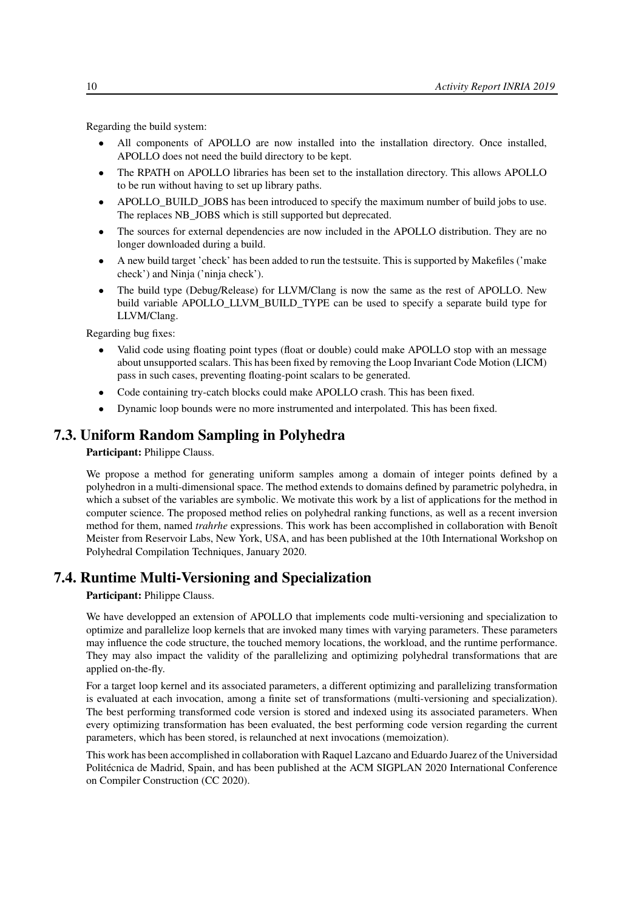Regarding the build system:

- All components of APOLLO are now installed into the installation directory. Once installed, APOLLO does not need the build directory to be kept.
- The RPATH on APOLLO libraries has been set to the installation directory. This allows APOLLO to be run without having to set up library paths.
- APOLLO\_BUILD\_JOBS has been introduced to specify the maximum number of build jobs to use. The replaces NB\_JOBS which is still supported but deprecated.
- The sources for external dependencies are now included in the APOLLO distribution. They are no longer downloaded during a build.
- A new build target 'check' has been added to run the testsuite. This is supported by Makefiles ('make check') and Ninja ('ninja check').
- The build type (Debug/Release) for LLVM/Clang is now the same as the rest of APOLLO. New build variable APOLLO\_LLVM\_BUILD\_TYPE can be used to specify a separate build type for LLVM/Clang.

Regarding bug fixes:

- Valid code using floating point types (float or double) could make APOLLO stop with an message about unsupported scalars. This has been fixed by removing the Loop Invariant Code Motion (LICM) pass in such cases, preventing floating-point scalars to be generated.
- Code containing try-catch blocks could make APOLLO crash. This has been fixed.
- Dynamic loop bounds were no more instrumented and interpolated. This has been fixed.

# 7.3. Uniform Random Sampling in Polyhedra

#### <span id="page-13-0"></span>Participant: Philippe Clauss.

We propose a method for generating uniform samples among a domain of integer points defined by a polyhedron in a multi-dimensional space. The method extends to domains defined by parametric polyhedra, in which a subset of the variables are symbolic. We motivate this work by a list of applications for the method in computer science. The proposed method relies on polyhedral ranking functions, as well as a recent inversion method for them, named *trahrhe* expressions. This work has been accomplished in collaboration with Benoît Meister from Reservoir Labs, New York, USA, and has been published at the 10th International Workshop on Polyhedral Compilation Techniques, January 2020.

## 7.4. Runtime Multi-Versioning and Specialization

<span id="page-13-1"></span>Participant: Philippe Clauss.

We have developped an extension of APOLLO that implements code multi-versioning and specialization to optimize and parallelize loop kernels that are invoked many times with varying parameters. These parameters may influence the code structure, the touched memory locations, the workload, and the runtime performance. They may also impact the validity of the parallelizing and optimizing polyhedral transformations that are applied on-the-fly.

For a target loop kernel and its associated parameters, a different optimizing and parallelizing transformation is evaluated at each invocation, among a finite set of transformations (multi-versioning and specialization). The best performing transformed code version is stored and indexed using its associated parameters. When every optimizing transformation has been evaluated, the best performing code version regarding the current parameters, which has been stored, is relaunched at next invocations (memoization).

This work has been accomplished in collaboration with Raquel Lazcano and Eduardo Juarez of the Universidad Politécnica de Madrid, Spain, and has been published at the ACM SIGPLAN 2020 International Conference on Compiler Construction (CC 2020).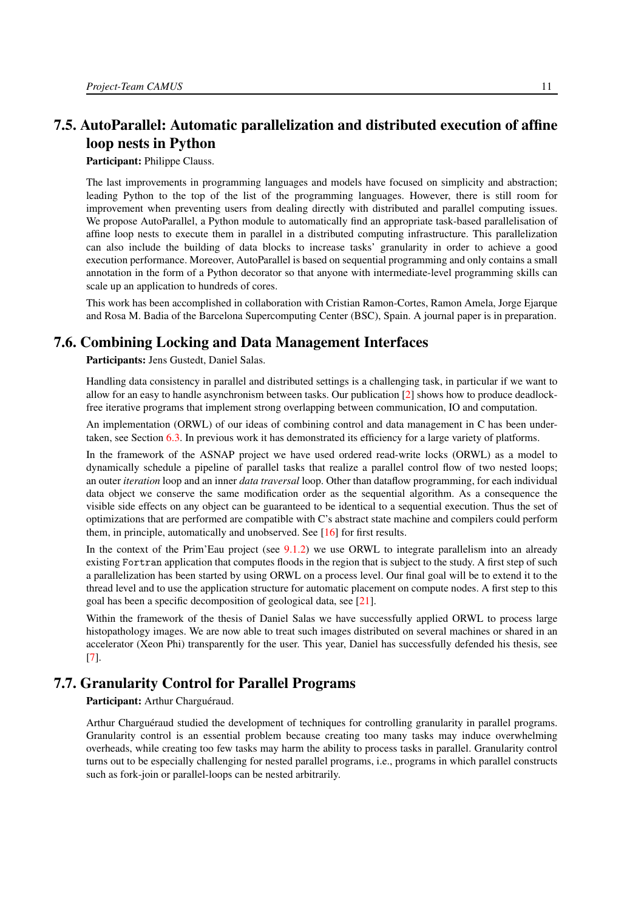# <span id="page-14-0"></span>7.5. AutoParallel: Automatic parallelization and distributed execution of affine loop nests in Python

Participant: Philippe Clauss.

The last improvements in programming languages and models have focused on simplicity and abstraction; leading Python to the top of the list of the programming languages. However, there is still room for improvement when preventing users from dealing directly with distributed and parallel computing issues. We propose AutoParallel, a Python module to automatically find an appropriate task-based parallelisation of affine loop nests to execute them in parallel in a distributed computing infrastructure. This parallelization can also include the building of data blocks to increase tasks' granularity in order to achieve a good execution performance. Moreover, AutoParallel is based on sequential programming and only contains a small annotation in the form of a Python decorator so that anyone with intermediate-level programming skills can scale up an application to hundreds of cores.

This work has been accomplished in collaboration with Cristian Ramon-Cortes, Ramon Amela, Jorge Ejarque and Rosa M. Badia of the Barcelona Supercomputing Center (BSC), Spain. A journal paper is in preparation.

## 7.6. Combining Locking and Data Management Interfaces

<span id="page-14-1"></span>Participants: Jens Gustedt, Daniel Salas.

Handling data consistency in parallel and distributed settings is a challenging task, in particular if we want to allow for an easy to handle asynchronism between tasks. Our publication [\[2\]](#page-24-4) shows how to produce deadlockfree iterative programs that implement strong overlapping between communication, IO and computation.

An implementation (ORWL) of our ideas of combining control and data management in C has been undertaken, see Section [6.3.](#page-9-0) In previous work it has demonstrated its efficiency for a large variety of platforms.

In the framework of the ASNAP project we have used ordered read-write locks (ORWL) as a model to dynamically schedule a pipeline of parallel tasks that realize a parallel control flow of two nested loops; an outer *iteration* loop and an inner *data traversal* loop. Other than dataflow programming, for each individual data object we conserve the same modification order as the sequential algorithm. As a consequence the visible side effects on any object can be guaranteed to be identical to a sequential execution. Thus the set of optimizations that are performed are compatible with C's abstract state machine and compilers could perform them, in principle, automatically and unobserved. See [\[16\]](#page-25-0) for first results.

In the context of the Prim'Eau project (see [9.1.2\)](#page-18-4) we use ORWL to integrate parallelism into an already existing Fortran application that computes floods in the region that is subject to the study. A first step of such a parallelization has been started by using ORWL on a process level. Our final goal will be to extend it to the thread level and to use the application structure for automatic placement on compute nodes. A first step to this goal has been a specific decomposition of geological data, see [\[21\]](#page-26-1).

Within the framework of the thesis of Daniel Salas we have successfully applied ORWL to process large histopathology images. We are now able to treat such images distributed on several machines or shared in an accelerator (Xeon Phi) transparently for the user. This year, Daniel has successfully defended his thesis, see [\[7\]](#page-24-5).

# 7.7. Granularity Control for Parallel Programs

<span id="page-14-2"></span>Participant: Arthur Charguéraud.

Arthur Charguéraud studied the development of techniques for controlling granularity in parallel programs. Granularity control is an essential problem because creating too many tasks may induce overwhelming overheads, while creating too few tasks may harm the ability to process tasks in parallel. Granularity control turns out to be especially challenging for nested parallel programs, i.e., programs in which parallel constructs such as fork-join or parallel-loops can be nested arbitrarily.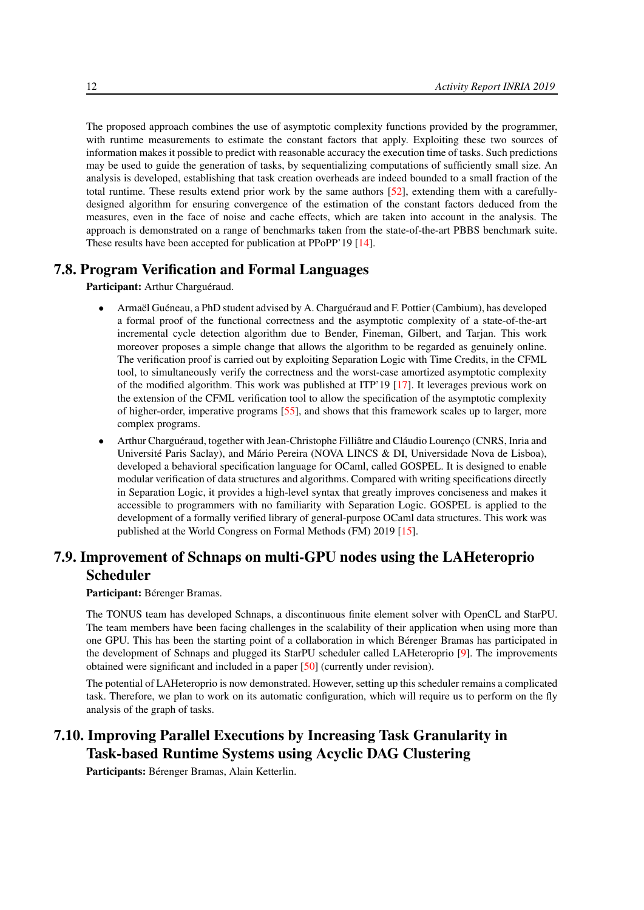The proposed approach combines the use of asymptotic complexity functions provided by the programmer, with runtime measurements to estimate the constant factors that apply. Exploiting these two sources of information makes it possible to predict with reasonable accuracy the execution time of tasks. Such predictions may be used to guide the generation of tasks, by sequentializing computations of sufficiently small size. An analysis is developed, establishing that task creation overheads are indeed bounded to a small fraction of the total runtime. These results extend prior work by the same authors [\[52\]](#page-28-3), extending them with a carefullydesigned algorithm for ensuring convergence of the estimation of the constant factors deduced from the measures, even in the face of noise and cache effects, which are taken into account in the analysis. The approach is demonstrated on a range of benchmarks taken from the state-of-the-art PBBS benchmark suite. These results have been accepted for publication at PPoPP'19 [\[14\]](#page-25-1).

# 7.8. Program Verification and Formal Languages

<span id="page-15-0"></span>Participant: Arthur Charguéraud.

- Armaël Guéneau, a PhD student advised by A. Charguéraud and F. Pottier (Cambium), has developed a formal proof of the functional correctness and the asymptotic complexity of a state-of-the-art incremental cycle detection algorithm due to Bender, Fineman, Gilbert, and Tarjan. This work moreover proposes a simple change that allows the algorithm to be regarded as genuinely online. The verification proof is carried out by exploiting Separation Logic with Time Credits, in the CFML tool, to simultaneously verify the correctness and the worst-case amortized asymptotic complexity of the modified algorithm. This work was published at ITP'19 [\[17\]](#page-25-2). It leverages previous work on the extension of the CFML verification tool to allow the specification of the asymptotic complexity of higher-order, imperative programs [\[55\]](#page-28-4), and shows that this framework scales up to larger, more complex programs.
- Arthur Charguéraud, together with Jean-Christophe Filliâtre and Cláudio Lourenço (CNRS, Inria and Université Paris Saclay), and Mário Pereira (NOVA LINCS & DI, Universidade Nova de Lisboa), developed a behavioral specification language for OCaml, called GOSPEL. It is designed to enable modular verification of data structures and algorithms. Compared with writing specifications directly in Separation Logic, it provides a high-level syntax that greatly improves conciseness and makes it accessible to programmers with no familiarity with Separation Logic. GOSPEL is applied to the development of a formally verified library of general-purpose OCaml data structures. This work was published at the World Congress on Formal Methods (FM) 2019 [\[15\]](#page-25-3).

# <span id="page-15-1"></span>7.9. Improvement of Schnaps on multi-GPU nodes using the LAHeteroprio Scheduler

Participant: Bérenger Bramas.

The TONUS team has developed Schnaps, a discontinuous finite element solver with OpenCL and StarPU. The team members have been facing challenges in the scalability of their application when using more than one GPU. This has been the starting point of a collaboration in which Bérenger Bramas has participated in the development of Schnaps and plugged its StarPU scheduler called LAHeteroprio [\[9\]](#page-25-4). The improvements obtained were significant and included in a paper [\[50\]](#page-28-5) (currently under revision).

The potential of LAHeteroprio is now demonstrated. However, setting up this scheduler remains a complicated task. Therefore, we plan to work on its automatic configuration, which will require us to perform on the fly analysis of the graph of tasks.

# <span id="page-15-2"></span>7.10. Improving Parallel Executions by Increasing Task Granularity in Task-based Runtime Systems using Acyclic DAG Clustering

Participants: Bérenger Bramas, Alain Ketterlin.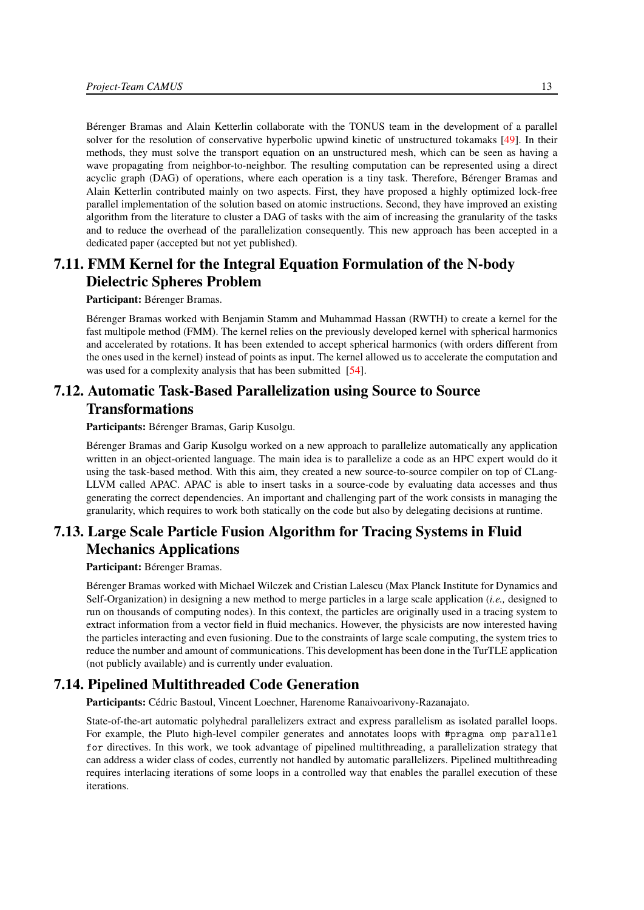Bérenger Bramas and Alain Ketterlin collaborate with the TONUS team in the development of a parallel solver for the resolution of conservative hyperbolic upwind kinetic of unstructured tokamaks [\[49\]](#page-28-6). In their methods, they must solve the transport equation on an unstructured mesh, which can be seen as having a wave propagating from neighbor-to-neighbor. The resulting computation can be represented using a direct acyclic graph (DAG) of operations, where each operation is a tiny task. Therefore, Bérenger Bramas and Alain Ketterlin contributed mainly on two aspects. First, they have proposed a highly optimized lock-free parallel implementation of the solution based on atomic instructions. Second, they have improved an existing algorithm from the literature to cluster a DAG of tasks with the aim of increasing the granularity of the tasks and to reduce the overhead of the parallelization consequently. This new approach has been accepted in a dedicated paper (accepted but not yet published).

# <span id="page-16-0"></span>7.11. FMM Kernel for the Integral Equation Formulation of the N-body Dielectric Spheres Problem

#### Participant: Bérenger Bramas.

Bérenger Bramas worked with Benjamin Stamm and Muhammad Hassan (RWTH) to create a kernel for the fast multipole method (FMM). The kernel relies on the previously developed kernel with spherical harmonics and accelerated by rotations. It has been extended to accept spherical harmonics (with orders different from the ones used in the kernel) instead of points as input. The kernel allowed us to accelerate the computation and was used for a complexity analysis that has been submitted [\[54\]](#page-28-7).

# <span id="page-16-1"></span>7.12. Automatic Task-Based Parallelization using Source to Source Transformations

Participants: Bérenger Bramas, Garip Kusolgu.

Bérenger Bramas and Garip Kusolgu worked on a new approach to parallelize automatically any application written in an object-oriented language. The main idea is to parallelize a code as an HPC expert would do it using the task-based method. With this aim, they created a new source-to-source compiler on top of CLang-LLVM called APAC. APAC is able to insert tasks in a source-code by evaluating data accesses and thus generating the correct dependencies. An important and challenging part of the work consists in managing the granularity, which requires to work both statically on the code but also by delegating decisions at runtime.

# <span id="page-16-2"></span>7.13. Large Scale Particle Fusion Algorithm for Tracing Systems in Fluid Mechanics Applications

Participant: Bérenger Bramas.

Bérenger Bramas worked with Michael Wilczek and Cristian Lalescu (Max Planck Institute for Dynamics and Self-Organization) in designing a new method to merge particles in a large scale application (*i.e.,* designed to run on thousands of computing nodes). In this context, the particles are originally used in a tracing system to extract information from a vector field in fluid mechanics. However, the physicists are now interested having the particles interacting and even fusioning. Due to the constraints of large scale computing, the system tries to reduce the number and amount of communications. This development has been done in the TurTLE application (not publicly available) and is currently under evaluation.

## 7.14. Pipelined Multithreaded Code Generation

<span id="page-16-3"></span>Participants: Cédric Bastoul, Vincent Loechner, Harenome Ranaivoarivony-Razanajato.

State-of-the-art automatic polyhedral parallelizers extract and express parallelism as isolated parallel loops. For example, the Pluto high-level compiler generates and annotates loops with #pragma omp parallel for directives. In this work, we took advantage of pipelined multithreading, a parallelization strategy that can address a wider class of codes, currently not handled by automatic parallelizers. Pipelined multithreading requires interlacing iterations of some loops in a controlled way that enables the parallel execution of these iterations.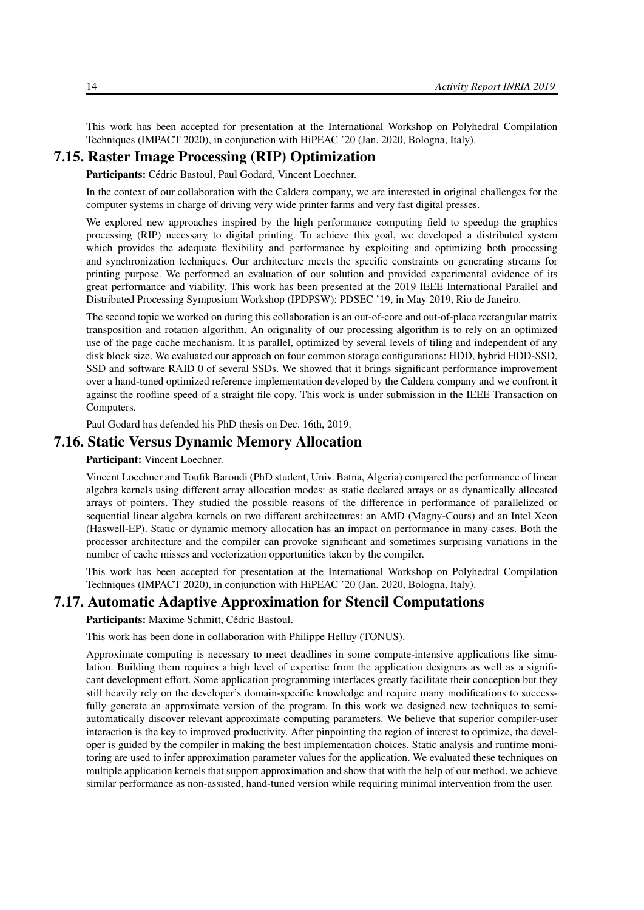This work has been accepted for presentation at the International Workshop on Polyhedral Compilation Techniques (IMPACT 2020), in conjunction with HiPEAC '20 (Jan. 2020, Bologna, Italy).

# 7.15. Raster Image Processing (RIP) Optimization

<span id="page-17-0"></span>Participants: Cédric Bastoul, Paul Godard, Vincent Loechner.

In the context of our collaboration with the Caldera company, we are interested in original challenges for the computer systems in charge of driving very wide printer farms and very fast digital presses.

We explored new approaches inspired by the high performance computing field to speedup the graphics processing (RIP) necessary to digital printing. To achieve this goal, we developed a distributed system which provides the adequate flexibility and performance by exploiting and optimizing both processing and synchronization techniques. Our architecture meets the specific constraints on generating streams for printing purpose. We performed an evaluation of our solution and provided experimental evidence of its great performance and viability. This work has been presented at the 2019 IEEE International Parallel and Distributed Processing Symposium Workshop (IPDPSW): PDSEC '19, in May 2019, Rio de Janeiro.

The second topic we worked on during this collaboration is an out-of-core and out-of-place rectangular matrix transposition and rotation algorithm. An originality of our processing algorithm is to rely on an optimized use of the page cache mechanism. It is parallel, optimized by several levels of tiling and independent of any disk block size. We evaluated our approach on four common storage configurations: HDD, hybrid HDD-SSD, SSD and software RAID 0 of several SSDs. We showed that it brings significant performance improvement over a hand-tuned optimized reference implementation developed by the Caldera company and we confront it against the roofline speed of a straight file copy. This work is under submission in the IEEE Transaction on Computers.

<span id="page-17-1"></span>Paul Godard has defended his PhD thesis on Dec. 16th, 2019.

## 7.16. Static Versus Dynamic Memory Allocation

Participant: Vincent Loechner.

Vincent Loechner and Toufik Baroudi (PhD student, Univ. Batna, Algeria) compared the performance of linear algebra kernels using different array allocation modes: as static declared arrays or as dynamically allocated arrays of pointers. They studied the possible reasons of the difference in performance of parallelized or sequential linear algebra kernels on two different architectures: an AMD (Magny-Cours) and an Intel Xeon (Haswell-EP). Static or dynamic memory allocation has an impact on performance in many cases. Both the processor architecture and the compiler can provoke significant and sometimes surprising variations in the number of cache misses and vectorization opportunities taken by the compiler.

This work has been accepted for presentation at the International Workshop on Polyhedral Compilation Techniques (IMPACT 2020), in conjunction with HiPEAC '20 (Jan. 2020, Bologna, Italy).

## 7.17. Automatic Adaptive Approximation for Stencil Computations

<span id="page-17-2"></span>Participants: Maxime Schmitt, Cédric Bastoul.

This work has been done in collaboration with Philippe Helluy (TONUS).

Approximate computing is necessary to meet deadlines in some compute-intensive applications like simulation. Building them requires a high level of expertise from the application designers as well as a significant development effort. Some application programming interfaces greatly facilitate their conception but they still heavily rely on the developer's domain-specific knowledge and require many modifications to successfully generate an approximate version of the program. In this work we designed new techniques to semiautomatically discover relevant approximate computing parameters. We believe that superior compiler-user interaction is the key to improved productivity. After pinpointing the region of interest to optimize, the developer is guided by the compiler in making the best implementation choices. Static analysis and runtime monitoring are used to infer approximation parameter values for the application. We evaluated these techniques on multiple application kernels that support approximation and show that with the help of our method, we achieve similar performance as non-assisted, hand-tuned version while requiring minimal intervention from the user.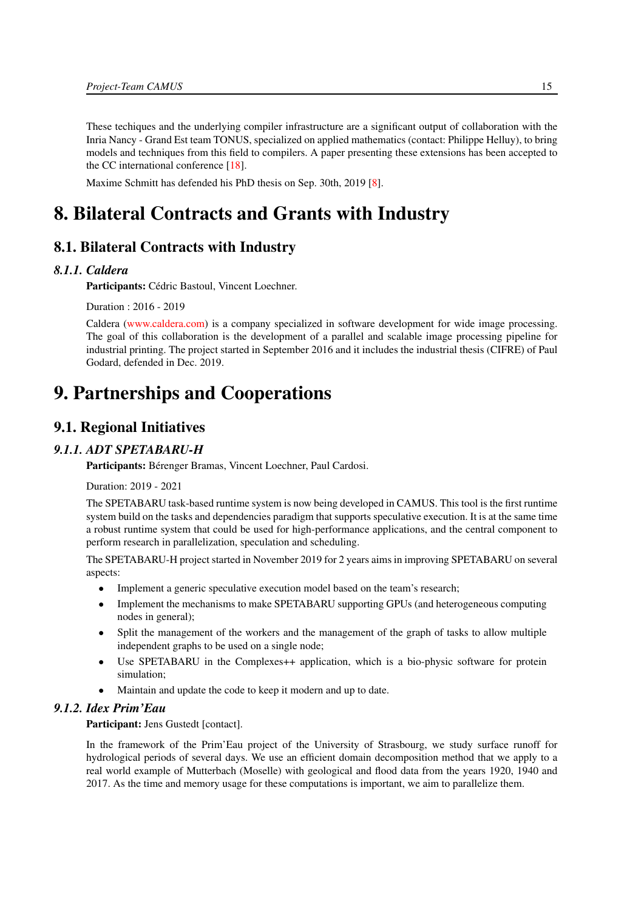These techiques and the underlying compiler infrastructure are a significant output of collaboration with the Inria Nancy - Grand Est team TONUS, specialized on applied mathematics (contact: Philippe Helluy), to bring models and techniques from this field to compilers. A paper presenting these extensions has been accepted to the CC international conference [\[18\]](#page-25-5).

<span id="page-18-0"></span>Maxime Schmitt has defended his PhD thesis on Sep. 30th, 2019 [\[8\]](#page-25-6).

# 8. Bilateral Contracts and Grants with Industry

# 8.1. Bilateral Contracts with Industry

#### *8.1.1. Caldera*

Participants: Cédric Bastoul, Vincent Loechner.

Duration : 2016 - 2019

Caldera [\(www.caldera.com\)](file:www.caldera.com) is a company specialized in software development for wide image processing. The goal of this collaboration is the development of a parallel and scalable image processing pipeline for industrial printing. The project started in September 2016 and it includes the industrial thesis (CIFRE) of Paul Godard, defended in Dec. 2019.

# <span id="page-18-1"></span>9. Partnerships and Cooperations

# <span id="page-18-2"></span>9.1. Regional Initiatives

#### *9.1.1. ADT SPETABARU-H*

<span id="page-18-3"></span>Participants: Bérenger Bramas, Vincent Loechner, Paul Cardosi.

Duration: 2019 - 2021

The SPETABARU task-based runtime system is now being developed in CAMUS. This tool is the first runtime system build on the tasks and dependencies paradigm that supports speculative execution. It is at the same time a robust runtime system that could be used for high-performance applications, and the central component to perform research in parallelization, speculation and scheduling.

The SPETABARU-H project started in November 2019 for 2 years aims in improving SPETABARU on several aspects:

- Implement a generic speculative execution model based on the team's research;
- Implement the mechanisms to make SPETABARU supporting GPUs (and heterogeneous computing nodes in general);
- Split the management of the workers and the management of the graph of tasks to allow multiple independent graphs to be used on a single node;
- Use SPETABARU in the Complexes++ application, which is a bio-physic software for protein simulation;
- <span id="page-18-4"></span>• Maintain and update the code to keep it modern and up to date.

#### *9.1.2. Idex Prim'Eau*

Participant: Jens Gustedt [contact].

In the framework of the Prim'Eau project of the University of Strasbourg, we study surface runoff for hydrological periods of several days. We use an efficient domain decomposition method that we apply to a real world example of Mutterbach (Moselle) with geological and flood data from the years 1920, 1940 and 2017. As the time and memory usage for these computations is important, we aim to parallelize them.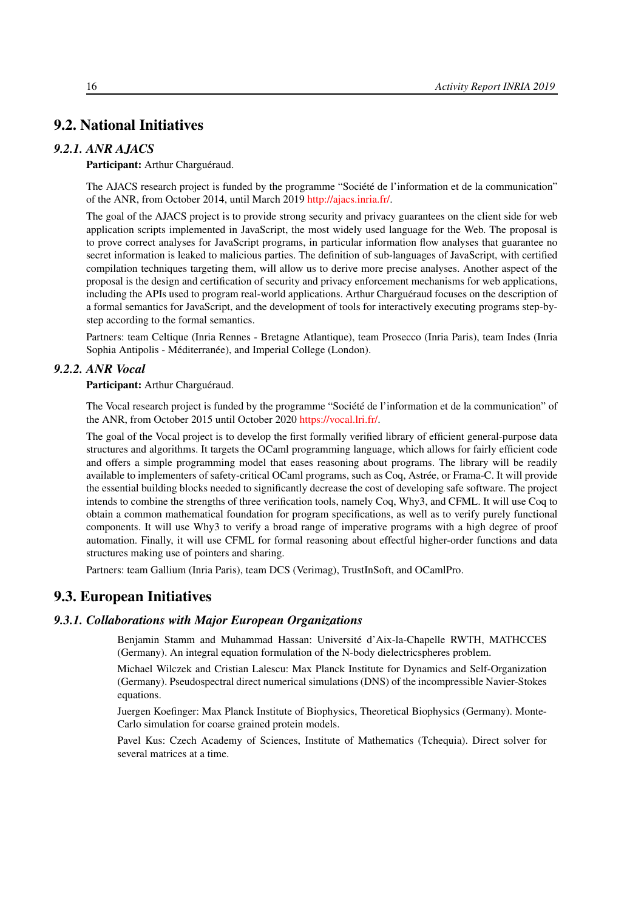# <span id="page-19-0"></span>9.2. National Initiatives

#### *9.2.1. ANR AJACS*

#### <span id="page-19-1"></span>Participant: Arthur Charguéraud.

The AJACS research project is funded by the programme "Société de l'information et de la communication" of the ANR, from October 2014, until March 2019 [http://ajacs.inria.fr/.](http://ajacs.inria.fr/)

The goal of the AJACS project is to provide strong security and privacy guarantees on the client side for web application scripts implemented in JavaScript, the most widely used language for the Web. The proposal is to prove correct analyses for JavaScript programs, in particular information flow analyses that guarantee no secret information is leaked to malicious parties. The definition of sub-languages of JavaScript, with certified compilation techniques targeting them, will allow us to derive more precise analyses. Another aspect of the proposal is the design and certification of security and privacy enforcement mechanisms for web applications, including the APIs used to program real-world applications. Arthur Charguéraud focuses on the description of a formal semantics for JavaScript, and the development of tools for interactively executing programs step-bystep according to the formal semantics.

Partners: team Celtique (Inria Rennes - Bretagne Atlantique), team Prosecco (Inria Paris), team Indes (Inria Sophia Antipolis - Méditerranée), and Imperial College (London).

#### *9.2.2. ANR Vocal*

<span id="page-19-2"></span>Participant: Arthur Charguéraud.

The Vocal research project is funded by the programme "Société de l'information et de la communication" of the ANR, from October 2015 until October 2020 [https://vocal.lri.fr/.](https://vocal.lri.fr/)

The goal of the Vocal project is to develop the first formally verified library of efficient general-purpose data structures and algorithms. It targets the OCaml programming language, which allows for fairly efficient code and offers a simple programming model that eases reasoning about programs. The library will be readily available to implementers of safety-critical OCaml programs, such as Coq, Astrée, or Frama-C. It will provide the essential building blocks needed to significantly decrease the cost of developing safe software. The project intends to combine the strengths of three verification tools, namely Coq, Why3, and CFML. It will use Coq to obtain a common mathematical foundation for program specifications, as well as to verify purely functional components. It will use Why3 to verify a broad range of imperative programs with a high degree of proof automation. Finally, it will use CFML for formal reasoning about effectful higher-order functions and data structures making use of pointers and sharing.

<span id="page-19-3"></span>Partners: team Gallium (Inria Paris), team DCS (Verimag), TrustInSoft, and OCamlPro.

# 9.3. European Initiatives

#### *9.3.1. Collaborations with Major European Organizations*

Benjamin Stamm and Muhammad Hassan: Université d'Aix-la-Chapelle RWTH, MATHCCES (Germany). An integral equation formulation of the N-body dielectricspheres problem.

Michael Wilczek and Cristian Lalescu: Max Planck Institute for Dynamics and Self-Organization (Germany). Pseudospectral direct numerical simulations (DNS) of the incompressible Navier-Stokes equations.

Juergen Koefinger: Max Planck Institute of Biophysics, Theoretical Biophysics (Germany). Monte-Carlo simulation for coarse grained protein models.

Pavel Kus: Czech Academy of Sciences, Institute of Mathematics (Tchequia). Direct solver for several matrices at a time.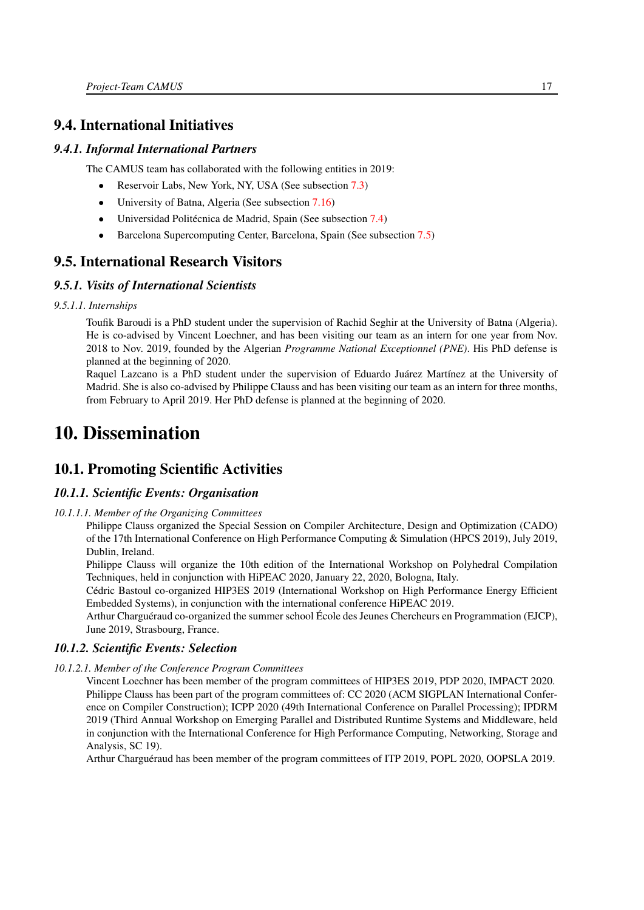# <span id="page-20-0"></span>9.4. International Initiatives

#### *9.4.1. Informal International Partners*

The CAMUS team has collaborated with the following entities in 2019:

- Reservoir Labs, New York, NY, USA (See subsection [7.3\)](#page-13-0)
- University of Batna, Algeria (See subsection [7.16\)](#page-17-1)
- Universidad Politécnica de Madrid, Spain (See subsection [7.4\)](#page-13-1)
- <span id="page-20-1"></span>• Barcelona Supercomputing Center, Barcelona, Spain (See subsection [7.5\)](#page-14-0)

## 9.5. International Research Visitors

#### *9.5.1. Visits of International Scientists*

*9.5.1.1. Internships*

Toufik Baroudi is a PhD student under the supervision of Rachid Seghir at the University of Batna (Algeria). He is co-advised by Vincent Loechner, and has been visiting our team as an intern for one year from Nov. 2018 to Nov. 2019, founded by the Algerian *Programme National Exceptionnel (PNE)*. His PhD defense is planned at the beginning of 2020.

Raquel Lazcano is a PhD student under the supervision of Eduardo Juárez Martínez at the University of Madrid. She is also co-advised by Philippe Clauss and has been visiting our team as an intern for three months, from February to April 2019. Her PhD defense is planned at the beginning of 2020.

# <span id="page-20-2"></span>10. Dissemination

# <span id="page-20-3"></span>10.1. Promoting Scientific Activities

#### <span id="page-20-4"></span>*10.1.1. Scientific Events: Organisation*

*10.1.1.1. Member of the Organizing Committees*

Philippe Clauss organized the Special Session on Compiler Architecture, Design and Optimization (CADO) of the 17th International Conference on High Performance Computing & Simulation (HPCS 2019), July 2019, Dublin, Ireland.

Philippe Clauss will organize the 10th edition of the International Workshop on Polyhedral Compilation Techniques, held in conjunction with HiPEAC 2020, January 22, 2020, Bologna, Italy.

Cédric Bastoul co-organized HIP3ES 2019 (International Workshop on High Performance Energy Efficient Embedded Systems), in conjunction with the international conference HiPEAC 2019.

<span id="page-20-5"></span>Arthur Charguéraud co-organized the summer school École des Jeunes Chercheurs en Programmation (EJCP), June 2019, Strasbourg, France.

#### *10.1.2. Scientific Events: Selection*

*10.1.2.1. Member of the Conference Program Committees*

<span id="page-20-6"></span>Vincent Loechner has been member of the program committees of HIP3ES 2019, PDP 2020, IMPACT 2020. Philippe Clauss has been part of the program committees of: CC 2020 (ACM SIGPLAN International Conference on Compiler Construction); ICPP 2020 (49th International Conference on Parallel Processing); IPDRM 2019 (Third Annual Workshop on Emerging Parallel and Distributed Runtime Systems and Middleware, held in conjunction with the International Conference for High Performance Computing, Networking, Storage and Analysis, SC 19).

Arthur Charguéraud has been member of the program committees of ITP 2019, POPL 2020, OOPSLA 2019.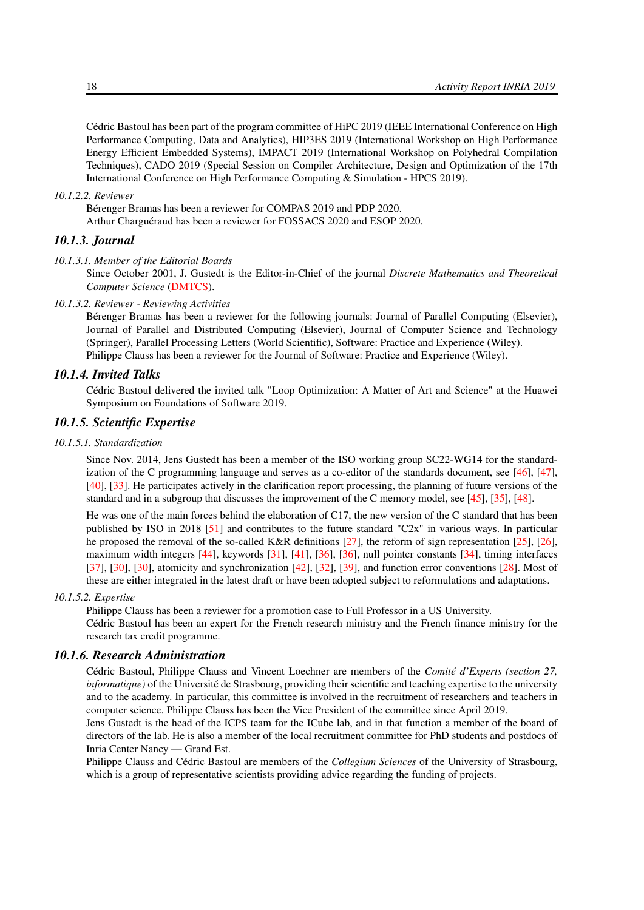Cédric Bastoul has been part of the program committee of HiPC 2019 (IEEE International Conference on High Performance Computing, Data and Analytics), HIP3ES 2019 (International Workshop on High Performance Energy Efficient Embedded Systems), IMPACT 2019 (International Workshop on Polyhedral Compilation Techniques), CADO 2019 (Special Session on Compiler Architecture, Design and Optimization of the 17th International Conference on High Performance Computing & Simulation - HPCS 2019).

#### *10.1.2.2. Reviewer*

<span id="page-21-1"></span><span id="page-21-0"></span>Bérenger Bramas has been a reviewer for COMPAS 2019 and PDP 2020. Arthur Charguéraud has been a reviewer for FOSSACS 2020 and ESOP 2020.

#### *10.1.3. Journal*

#### *10.1.3.1. Member of the Editorial Boards*

<span id="page-21-2"></span>Since October 2001, J. Gustedt is the Editor-in-Chief of the journal *Discrete Mathematics and Theoretical Computer Science* [\(DMTCS\)](http://dmtcs.episciences.org/).

#### *10.1.3.2. Reviewer - Reviewing Activities*

<span id="page-21-3"></span>Bérenger Bramas has been a reviewer for the following journals: Journal of Parallel Computing (Elsevier), Journal of Parallel and Distributed Computing (Elsevier), Journal of Computer Science and Technology (Springer), Parallel Processing Letters (World Scientific), Software: Practice and Experience (Wiley). Philippe Clauss has been a reviewer for the Journal of Software: Practice and Experience (Wiley).

#### *10.1.4. Invited Talks*

<span id="page-21-5"></span><span id="page-21-4"></span>Cédric Bastoul delivered the invited talk "Loop Optimization: A Matter of Art and Science" at the Huawei Symposium on Foundations of Software 2019.

#### *10.1.5. Scientific Expertise*

#### *10.1.5.1. Standardization*

<span id="page-21-6"></span>Since Nov. 2014, Jens Gustedt has been a member of the ISO working group SC22-WG14 for the standardization of the C programming language and serves as a co-editor of the standards document, see [\[46\]](#page-27-0), [\[47\]](#page-27-1), [\[40\]](#page-27-2), [\[33\]](#page-27-3). He participates actively in the clarification report processing, the planning of future versions of the standard and in a subgroup that discusses the improvement of the C memory model, see [\[45\]](#page-27-4), [\[35\]](#page-27-5), [\[48\]](#page-28-8).

He was one of the main forces behind the elaboration of C17, the new version of the C standard that has been published by ISO in 2018 [\[51\]](#page-28-9) and contributes to the future standard "C2x" in various ways. In particular he proposed the removal of the so-called K&R definitions [\[27\]](#page-26-2), the reform of sign representation [\[25\]](#page-26-3), [\[26\]](#page-26-4), maximum width integers [\[44\]](#page-27-6), keywords [\[31\]](#page-26-5), [\[41\]](#page-27-7), [\[36\]](#page-27-8), [\[36\]](#page-27-8), null pointer constants [\[34\]](#page-27-9), timing interfaces [\[37\]](#page-27-10), [\[30\]](#page-26-6), [\[30\]](#page-26-6), atomicity and synchronization [\[42\]](#page-27-11), [\[32\]](#page-27-12), [\[39\]](#page-27-13), and function error conventions [\[28\]](#page-26-7). Most of these are either integrated in the latest draft or have been adopted subject to reformulations and adaptations.

#### *10.1.5.2. Expertise*

<span id="page-21-7"></span>Philippe Clauss has been a reviewer for a promotion case to Full Professor in a US University.

Cédric Bastoul has been an expert for the French research ministry and the French finance ministry for the research tax credit programme.

#### *10.1.6. Research Administration*

<span id="page-21-8"></span>Cédric Bastoul, Philippe Clauss and Vincent Loechner are members of the *Comité d'Experts (section 27, informatique)* of the Université de Strasbourg, providing their scientific and teaching expertise to the university and to the academy. In particular, this committee is involved in the recruitment of researchers and teachers in computer science. Philippe Clauss has been the Vice President of the committee since April 2019.

Jens Gustedt is the head of the ICPS team for the ICube lab, and in that function a member of the board of directors of the lab. He is also a member of the local recruitment committee for PhD students and postdocs of Inria Center Nancy — Grand Est.

Philippe Clauss and Cédric Bastoul are members of the *Collegium Sciences* of the University of Strasbourg, which is a group of representative scientists providing advice regarding the funding of projects.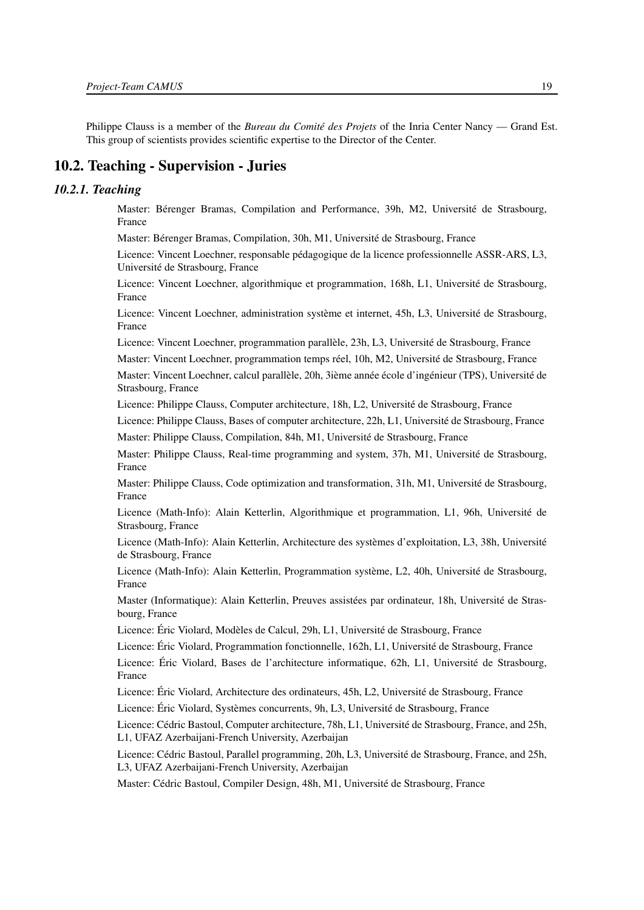<span id="page-22-0"></span>Philippe Clauss is a member of the *Bureau du Comité des Projets* of the Inria Center Nancy — Grand Est. This group of scientists provides scientific expertise to the Director of the Center.

### 10.2. Teaching - Supervision - Juries

#### <span id="page-22-1"></span>*10.2.1. Teaching*

Master: Bérenger Bramas, Compilation and Performance, 39h, M2, Université de Strasbourg, France

Master: Bérenger Bramas, Compilation, 30h, M1, Université de Strasbourg, France

Licence: Vincent Loechner, responsable pédagogique de la licence professionnelle ASSR-ARS, L3, Université de Strasbourg, France

Licence: Vincent Loechner, algorithmique et programmation, 168h, L1, Université de Strasbourg, France

Licence: Vincent Loechner, administration système et internet, 45h, L3, Université de Strasbourg, France

Licence: Vincent Loechner, programmation parallèle, 23h, L3, Université de Strasbourg, France

Master: Vincent Loechner, programmation temps réel, 10h, M2, Université de Strasbourg, France

Master: Vincent Loechner, calcul parallèle, 20h, 3ième année école d'ingénieur (TPS), Université de Strasbourg, France

Licence: Philippe Clauss, Computer architecture, 18h, L2, Université de Strasbourg, France

Licence: Philippe Clauss, Bases of computer architecture, 22h, L1, Université de Strasbourg, France

Master: Philippe Clauss, Compilation, 84h, M1, Université de Strasbourg, France

Master: Philippe Clauss, Real-time programming and system, 37h, M1, Université de Strasbourg, France

Master: Philippe Clauss, Code optimization and transformation, 31h, M1, Université de Strasbourg, France

Licence (Math-Info): Alain Ketterlin, Algorithmique et programmation, L1, 96h, Université de Strasbourg, France

Licence (Math-Info): Alain Ketterlin, Architecture des systèmes d'exploitation, L3, 38h, Université de Strasbourg, France

Licence (Math-Info): Alain Ketterlin, Programmation système, L2, 40h, Université de Strasbourg, France

Master (Informatique): Alain Ketterlin, Preuves assistées par ordinateur, 18h, Université de Strasbourg, France

Licence: Éric Violard, Modèles de Calcul, 29h, L1, Université de Strasbourg, France

Licence: Éric Violard, Programmation fonctionnelle, 162h, L1, Université de Strasbourg, France

Licence: Éric Violard, Bases de l'architecture informatique, 62h, L1, Université de Strasbourg, France

Licence: Éric Violard, Architecture des ordinateurs, 45h, L2, Université de Strasbourg, France

Licence: Éric Violard, Systèmes concurrents, 9h, L3, Université de Strasbourg, France

Licence: Cédric Bastoul, Computer architecture, 78h, L1, Université de Strasbourg, France, and 25h, L1, UFAZ Azerbaijani-French University, Azerbaijan

Licence: Cédric Bastoul, Parallel programming, 20h, L3, Université de Strasbourg, France, and 25h, L3, UFAZ Azerbaijani-French University, Azerbaijan

Master: Cédric Bastoul, Compiler Design, 48h, M1, Université de Strasbourg, France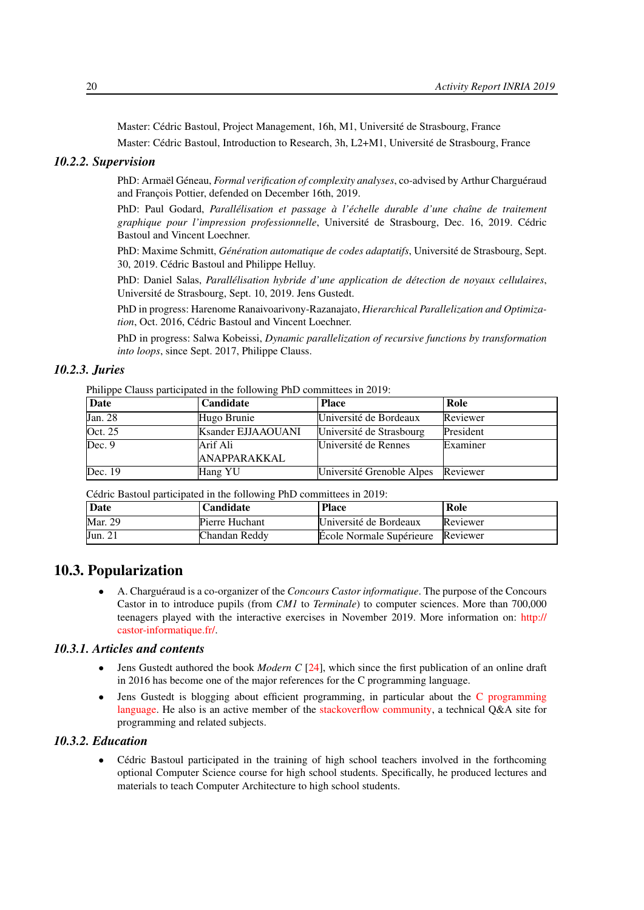Master: Cédric Bastoul, Project Management, 16h, M1, Université de Strasbourg, France

<span id="page-23-0"></span>Master: Cédric Bastoul, Introduction to Research, 3h, L2+M1, Université de Strasbourg, France

#### *10.2.2. Supervision*

PhD: Armaël Géneau, *Formal verification of complexity analyses*, co-advised by Arthur Charguéraud and François Pottier, defended on December 16th, 2019.

PhD: Paul Godard, *Parallélisation et passage à l'échelle durable d'une chaîne de traitement graphique pour l'impression professionnelle*, Université de Strasbourg, Dec. 16, 2019. Cédric Bastoul and Vincent Loechner.

PhD: Maxime Schmitt, *Génération automatique de codes adaptatifs*, Université de Strasbourg, Sept. 30, 2019. Cédric Bastoul and Philippe Helluy.

PhD: Daniel Salas, *Parallélisation hybride d'une application de détection de noyaux cellulaires*, Université de Strasbourg, Sept. 10, 2019. Jens Gustedt.

PhD in progress: Harenome Ranaivoarivony-Razanajato, *Hierarchical Parallelization and Optimization*, Oct. 2016, Cédric Bastoul and Vincent Loechner.

PhD in progress: Salwa Kobeissi, *Dynamic parallelization of recursive functions by transformation into loops*, since Sept. 2017, Philippe Clauss.

#### *10.2.3. Juries*

<span id="page-23-1"></span>Philippe Clauss participated in the following PhD committees in 2019:

| Date    | <b>Candidate</b>    | <b>Place</b>              | ' Role    |
|---------|---------------------|---------------------------|-----------|
| Jan. 28 | Hugo Brunie         | Université de Bordeaux    | Reviewer  |
| Oct. 25 | Ksander EJJAAOUANI  | Université de Strasbourg  | President |
| Dec.9   | Arif Ali            | Université de Rennes      | Examiner  |
|         | <b>ANAPPARAKKAL</b> |                           |           |
| Dec. 19 | Hang YU             | Université Grenoble Alpes | Reviewer  |

Cédric Bastoul participated in the following PhD committees in 2019:

| Date           | Candidate      | <b>Place</b>                      | Role     |
|----------------|----------------|-----------------------------------|----------|
| Mar. 29        | Pierre Huchant | Université de Bordeaux            | Reviewer |
| <b>Jun. 21</b> | Chandan Reddv  | Ecole Normale Supérieure Reviewer |          |

# 10.3. Popularization

<span id="page-23-2"></span>• A. Charguéraud is a co-organizer of the *Concours Castor informatique*. The purpose of the Concours Castor in to introduce pupils (from *CM1* to *Terminale*) to computer sciences. More than 700,000 teenagers played with the interactive exercises in November 2019. More information on: [http://](http://castor-informatique.fr/) [castor-informatique.fr/.](http://castor-informatique.fr/)

#### *10.3.1. Articles and contents*

- <span id="page-23-3"></span>• Jens Gustedt authored the book *Modern C* [\[24\]](#page-26-8), which since the first publication of an online draft in 2016 has become one of the major references for the C programming language.
- Jens Gustedt is blogging about efficient programming, in particular about the [C programming](http://gustedt.wordpress.com/) [language.](http://gustedt.wordpress.com/) He also is an active member of the [stackoverflow community,](http://stackoverflow.com/questions/tagged/c) a technical Q&A site for programming and related subjects.

#### *10.3.2. Education*

<span id="page-23-4"></span>• Cédric Bastoul participated in the training of high school teachers involved in the forthcoming optional Computer Science course for high school students. Specifically, he produced lectures and materials to teach Computer Architecture to high school students.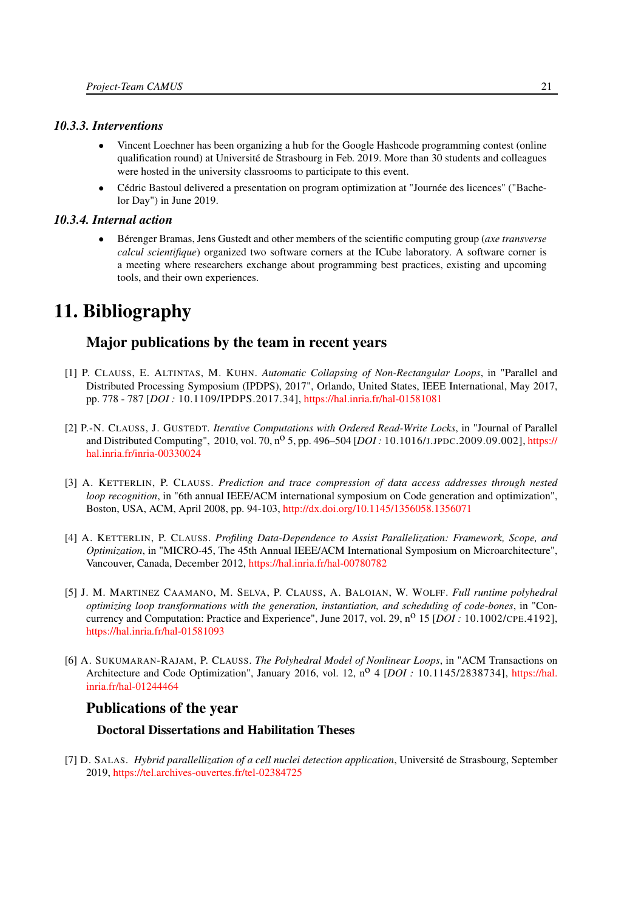#### *10.3.3. Interventions*

- <span id="page-24-0"></span>• Vincent Loechner has been organizing a hub for the Google Hashcode programming contest (online qualification round) at Université de Strasbourg in Feb. 2019. More than 30 students and colleagues were hosted in the university classrooms to participate to this event.
- Cédric Bastoul delivered a presentation on program optimization at "Journée des licences" ("Bachelor Day") in June 2019.

#### *10.3.4. Internal action*

<span id="page-24-1"></span>• Bérenger Bramas, Jens Gustedt and other members of the scientific computing group (*axe transverse calcul scientifique*) organized two software corners at the ICube laboratory. A software corner is a meeting where researchers exchange about programming best practices, existing and upcoming tools, and their own experiences.

# <span id="page-24-2"></span>11. Bibliography

# Major publications by the team in recent years

- [1] P. CLAUSS, E. ALTINTAS, M. KUHN. *Automatic Collapsing of Non-Rectangular Loops*, in "Parallel and Distributed Processing Symposium (IPDPS), 2017", Orlando, United States, IEEE International, May 2017, pp. 778 - 787 [*DOI :* 10.1109/IPDPS.2017.34], <https://hal.inria.fr/hal-01581081>
- <span id="page-24-4"></span>[2] P.-N. CLAUSS, J. GUSTEDT. *Iterative Computations with Ordered Read-Write Locks*, in "Journal of Parallel and Distributed Computing", 2010, vol. 70, no 5, pp. 496–504 [*DOI :* 10.1016/J.JPDC.2009.09.002], [https://](https://hal.inria.fr/inria-00330024) [hal.inria.fr/inria-00330024](https://hal.inria.fr/inria-00330024)
- <span id="page-24-3"></span>[3] A. KETTERLIN, P. CLAUSS. *Prediction and trace compression of data access addresses through nested loop recognition*, in "6th annual IEEE/ACM international symposium on Code generation and optimization", Boston, USA, ACM, April 2008, pp. 94-103, <http://dx.doi.org/10.1145/1356058.1356071>
- [4] A. KETTERLIN, P. CLAUSS. *Profiling Data-Dependence to Assist Parallelization: Framework, Scope, and Optimization*, in "MICRO-45, The 45th Annual IEEE/ACM International Symposium on Microarchitecture", Vancouver, Canada, December 2012, <https://hal.inria.fr/hal-00780782>
- [5] J. M. MARTINEZ CAAMANO, M. SELVA, P. CLAUSS, A. BALOIAN, W. WOLFF. *Full runtime polyhedral optimizing loop transformations with the generation, instantiation, and scheduling of code-bones*, in "Concurrency and Computation: Practice and Experience", June 2017, vol. 29, n<sup>o</sup> 15 [*DOI* : 10.1002/CPE.4192], <https://hal.inria.fr/hal-01581093>
- [6] A. SUKUMARAN-RAJAM, P. CLAUSS. *The Polyhedral Model of Nonlinear Loops*, in "ACM Transactions on Architecture and Code Optimization", January 2016, vol. 12, n<sup>o</sup> 4 [*DOI* : 10.1145/2838734], [https://hal.](https://hal.inria.fr/hal-01244464) [inria.fr/hal-01244464](https://hal.inria.fr/hal-01244464)

# Publications of the year

## Doctoral Dissertations and Habilitation Theses

<span id="page-24-5"></span>[7] D. SALAS. *Hybrid parallellization of a cell nuclei detection application*, Université de Strasbourg, September 2019, <https://tel.archives-ouvertes.fr/tel-02384725>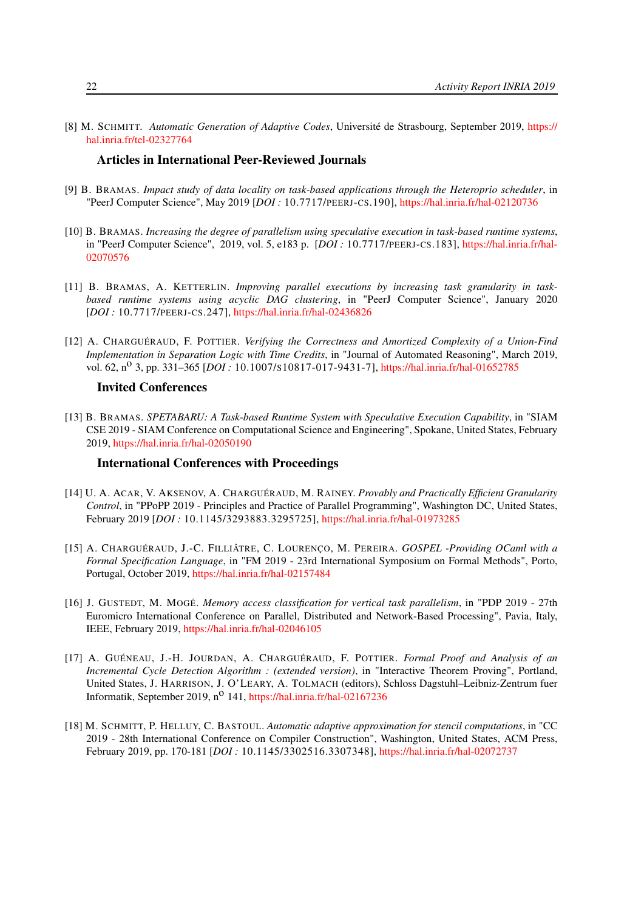<span id="page-25-6"></span>[8] M. SCHMITT. *Automatic Generation of Adaptive Codes*, Université de Strasbourg, September 2019, [https://](https://hal.inria.fr/tel-02327764) [hal.inria.fr/tel-02327764](https://hal.inria.fr/tel-02327764)

#### Articles in International Peer-Reviewed Journals

- <span id="page-25-4"></span>[9] B. BRAMAS. *Impact study of data locality on task-based applications through the Heteroprio scheduler*, in "PeerJ Computer Science", May 2019 [*DOI :* 10.7717/PEERJ-CS.190], <https://hal.inria.fr/hal-02120736>
- [10] B. BRAMAS. *Increasing the degree of parallelism using speculative execution in task-based runtime systems*, in "PeerJ Computer Science", 2019, vol. 5, e183 p. [*DOI :* 10.7717/PEERJ-CS.183], [https://hal.inria.fr/hal-](https://hal.inria.fr/hal-02070576)[02070576](https://hal.inria.fr/hal-02070576)
- [11] B. BRAMAS, A. KETTERLIN. *Improving parallel executions by increasing task granularity in taskbased runtime systems using acyclic DAG clustering*, in "PeerJ Computer Science", January 2020 [*DOI :* 10.7717/PEERJ-CS.247], <https://hal.inria.fr/hal-02436826>
- [12] A. CHARGUÉRAUD, F. POTTIER. *Verifying the Correctness and Amortized Complexity of a Union-Find Implementation in Separation Logic with Time Credits*, in "Journal of Automated Reasoning", March 2019, vol. 62, n<sup>o</sup> 3, pp. 331–365 [*DOI* : 10.1007/s10817-017-9431-7], <https://hal.inria.fr/hal-01652785>

#### Invited Conferences

[13] B. BRAMAS. *SPETABARU: A Task-based Runtime System with Speculative Execution Capability*, in "SIAM CSE 2019 - SIAM Conference on Computational Science and Engineering", Spokane, United States, February 2019, <https://hal.inria.fr/hal-02050190>

#### International Conferences with Proceedings

- <span id="page-25-1"></span>[14] U. A. ACAR, V. AKSENOV, A. CHARGUÉRAUD, M. RAINEY. *Provably and Practically Efficient Granularity Control*, in "PPoPP 2019 - Principles and Practice of Parallel Programming", Washington DC, United States, February 2019 [*DOI :* 10.1145/3293883.3295725], <https://hal.inria.fr/hal-01973285>
- <span id="page-25-3"></span>[15] A. CHARGUÉRAUD, J.-C. FILLIÂTRE, C. LOURENÇO, M. PEREIRA. *GOSPEL -Providing OCaml with a Formal Specification Language*, in "FM 2019 - 23rd International Symposium on Formal Methods", Porto, Portugal, October 2019, <https://hal.inria.fr/hal-02157484>
- <span id="page-25-0"></span>[16] J. GUSTEDT, M. MOGÉ. *Memory access classification for vertical task parallelism*, in "PDP 2019 - 27th Euromicro International Conference on Parallel, Distributed and Network-Based Processing", Pavia, Italy, IEEE, February 2019, <https://hal.inria.fr/hal-02046105>
- <span id="page-25-2"></span>[17] A. GUÉNEAU, J.-H. JOURDAN, A. CHARGUÉRAUD, F. POTTIER. *Formal Proof and Analysis of an Incremental Cycle Detection Algorithm : (extended version)*, in "Interactive Theorem Proving", Portland, United States, J. HARRISON, J. O'LEARY, A. TOLMACH (editors), Schloss Dagstuhl–Leibniz-Zentrum fuer Informatik, September 2019, n<sup>o</sup> 141, <https://hal.inria.fr/hal-02167236>
- <span id="page-25-5"></span>[18] M. SCHMITT, P. HELLUY, C. BASTOUL. *Automatic adaptive approximation for stencil computations*, in "CC 2019 - 28th International Conference on Compiler Construction", Washington, United States, ACM Press, February 2019, pp. 170-181 [*DOI :* 10.1145/3302516.3307348], <https://hal.inria.fr/hal-02072737>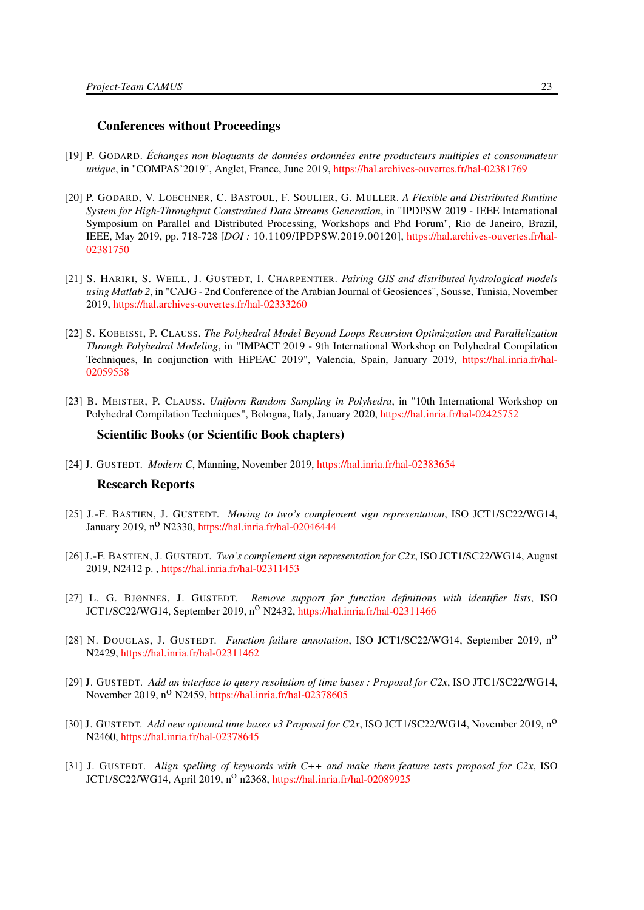#### Conferences without Proceedings

- [19] P. GODARD. *Échanges non bloquants de données ordonnées entre producteurs multiples et consommateur unique*, in "COMPAS'2019", Anglet, France, June 2019, <https://hal.archives-ouvertes.fr/hal-02381769>
- [20] P. GODARD, V. LOECHNER, C. BASTOUL, F. SOULIER, G. MULLER. *A Flexible and Distributed Runtime System for High-Throughput Constrained Data Streams Generation*, in "IPDPSW 2019 - IEEE International Symposium on Parallel and Distributed Processing, Workshops and Phd Forum", Rio de Janeiro, Brazil, IEEE, May 2019, pp. 718-728 [*DOI :* 10.1109/IPDPSW.2019.00120], [https://hal.archives-ouvertes.fr/hal-](https://hal.archives-ouvertes.fr/hal-02381750)[02381750](https://hal.archives-ouvertes.fr/hal-02381750)
- <span id="page-26-1"></span>[21] S. HARIRI, S. WEILL, J. GUSTEDT, I. CHARPENTIER. *Pairing GIS and distributed hydrological models using Matlab 2*, in "CAJG - 2nd Conference of the Arabian Journal of Geosiences", Sousse, Tunisia, November 2019, <https://hal.archives-ouvertes.fr/hal-02333260>
- <span id="page-26-0"></span>[22] S. KOBEISSI, P. CLAUSS. *The Polyhedral Model Beyond Loops Recursion Optimization and Parallelization Through Polyhedral Modeling*, in "IMPACT 2019 - 9th International Workshop on Polyhedral Compilation Techniques, In conjunction with HiPEAC 2019", Valencia, Spain, January 2019, [https://hal.inria.fr/hal-](https://hal.inria.fr/hal-02059558)[02059558](https://hal.inria.fr/hal-02059558)
- [23] B. MEISTER, P. CLAUSS. *Uniform Random Sampling in Polyhedra*, in "10th International Workshop on Polyhedral Compilation Techniques", Bologna, Italy, January 2020, <https://hal.inria.fr/hal-02425752>

#### Scientific Books (or Scientific Book chapters)

<span id="page-26-8"></span>[24] J. GUSTEDT. *Modern C*, Manning, November 2019, <https://hal.inria.fr/hal-02383654>

#### Research Reports

- <span id="page-26-3"></span>[25] J.-F. BASTIEN, J. GUSTEDT. *Moving to two's complement sign representation*, ISO JCT1/SC22/WG14, January 2019,  $n^O$  N2330, <https://hal.inria.fr/hal-02046444>
- <span id="page-26-4"></span>[26] J.-F. BASTIEN, J. GUSTEDT. *Two's complement sign representation for C2x*, ISO JCT1/SC22/WG14, August 2019, N2412 p. , <https://hal.inria.fr/hal-02311453>
- <span id="page-26-2"></span>[27] L. G. BJØNNES, J. GUSTEDT. *Remove support for function definitions with identifier lists*, ISO JCT1/SC22/WG14, September 2019, n<sup>o</sup> N2432, <https://hal.inria.fr/hal-02311466>
- <span id="page-26-7"></span>[28] N. DOUGLAS, J. GUSTEDT. *Function failure annotation*, ISO JCT1/SC22/WG14, September 2019, no N2429, <https://hal.inria.fr/hal-02311462>
- [29] J. GUSTEDT. *Add an interface to query resolution of time bases : Proposal for C2x*, ISO JTC1/SC22/WG14, November 2019, n<sup>o</sup> N2459, <https://hal.inria.fr/hal-02378605>
- <span id="page-26-6"></span>[30] J. GUSTEDT. *Add new optional time bases v3 Proposal for C2x*, ISO JCT1/SC22/WG14, November 2019, no N2460, <https://hal.inria.fr/hal-02378645>
- <span id="page-26-5"></span>[31] J. GUSTEDT. *Align spelling of keywords with C++ and make them feature tests proposal for C2x*, ISO JCT1/SC22/WG14, April 2019,  $n^{\circ}$  n2368, <https://hal.inria.fr/hal-02089925>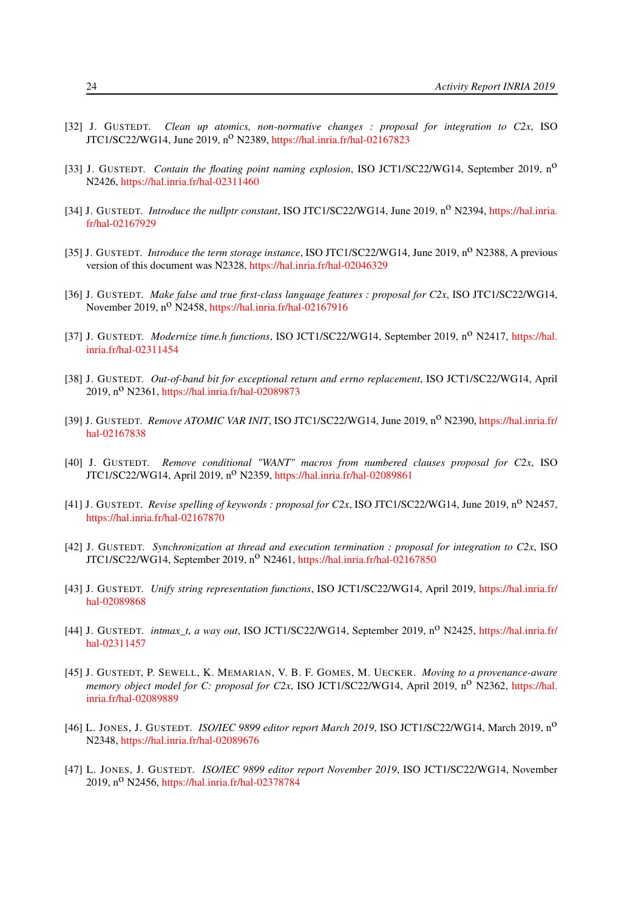- <span id="page-27-12"></span>[32] J. GUSTEDT. *Clean up atomics, non-normative changes : proposal for integration to C2x*, ISO JTC1/SC22/WG14, June 2019, n<sup>o</sup> N2389, <https://hal.inria.fr/hal-02167823>
- <span id="page-27-3"></span>[33] J. GUSTEDT. *Contain the floating point naming explosion*, ISO JCT1/SC22/WG14, September 2019, no N2426, <https://hal.inria.fr/hal-02311460>
- <span id="page-27-9"></span>[34] J. GUSTEDT. *Introduce the nullptr constant*, ISO JTC1/SC22/WG14, June 2019, n<sup>o</sup> N2394, [https://hal.inria.](https://hal.inria.fr/hal-02167929) [fr/hal-02167929](https://hal.inria.fr/hal-02167929)
- <span id="page-27-5"></span>[35] J. GUSTEDT. *Introduce the term storage instance*, ISO JTC1/SC22/WG14, June 2019, n<sup>o</sup> N2388, A previous version of this document was N2328, <https://hal.inria.fr/hal-02046329>
- <span id="page-27-8"></span>[36] J. GUSTEDT. *Make false and true first-class language features : proposal for C2x*, ISO JTC1/SC22/WG14, November 2019, n<sup>o</sup> N2458, <https://hal.inria.fr/hal-02167916>
- <span id="page-27-10"></span>[37] J. GUSTEDT. *Modernize time.h functions*, ISO JCT1/SC22/WG14, September 2019, n<sup>o</sup> N2417, [https://hal.](https://hal.inria.fr/hal-02311454) [inria.fr/hal-02311454](https://hal.inria.fr/hal-02311454)
- [38] J. GUSTEDT. *Out-of-band bit for exceptional return and errno replacement*, ISO JCT1/SC22/WG14, April 2019, n<sup>o</sup> N2361, <https://hal.inria.fr/hal-02089873>
- <span id="page-27-13"></span>[39] J. GUSTEDT. *Remove ATOMIC VAR INIT*, ISO JTC1/SC22/WG14, June 2019, n<sup>o</sup> N2390, [https://hal.inria.fr/](https://hal.inria.fr/hal-02167838) [hal-02167838](https://hal.inria.fr/hal-02167838)
- <span id="page-27-2"></span>[40] J. GUSTEDT. *Remove conditional "WANT" macros from numbered clauses proposal for C2x*, ISO JTC1/SC22/WG14, April 2019, n<sup>o</sup> N2359, <https://hal.inria.fr/hal-02089861>
- <span id="page-27-7"></span>[41] J. GUSTEDT. *Revise spelling of keywords : proposal for C2x*, ISO JTC1/SC22/WG14, June 2019, n<sup>o</sup> N2457, <https://hal.inria.fr/hal-02167870>
- <span id="page-27-11"></span>[42] J. GUSTEDT. *Synchronization at thread and execution termination : proposal for integration to C2x*, ISO JTC1/SC22/WG14, September 2019, n<sup>o</sup> N2461, <https://hal.inria.fr/hal-02167850>
- [43] J. GUSTEDT. *Unify string representation functions*, ISO JCT1/SC22/WG14, April 2019, [https://hal.inria.fr/](https://hal.inria.fr/hal-02089868) [hal-02089868](https://hal.inria.fr/hal-02089868)
- <span id="page-27-6"></span>[44] J. GUSTEDT. *intmax\_t, a way out*, ISO JCT1/SC22/WG14, September 2019, no N2425, [https://hal.inria.fr/](https://hal.inria.fr/hal-02311457) [hal-02311457](https://hal.inria.fr/hal-02311457)
- <span id="page-27-4"></span>[45] J. GUSTEDT, P. SEWELL, K. MEMARIAN, V. B. F. GOMES, M. UECKER. *Moving to a provenance-aware memory object model for C: proposal for C2x*, ISO JCT1/SC22/WG14, April 2019, n<sup>o</sup> N2362, [https://hal.](https://hal.inria.fr/hal-02089889) [inria.fr/hal-02089889](https://hal.inria.fr/hal-02089889)
- <span id="page-27-0"></span>[46] L. JONES, J. GUSTEDT. *ISO/IEC 9899 editor report March 2019*, ISO JCT1/SC22/WG14, March 2019, no N2348, <https://hal.inria.fr/hal-02089676>
- <span id="page-27-1"></span>[47] L. JONES, J. GUSTEDT. *ISO/IEC 9899 editor report November 2019*, ISO JCT1/SC22/WG14, November 2019, n<sup>o</sup> N2456, <https://hal.inria.fr/hal-02378784>